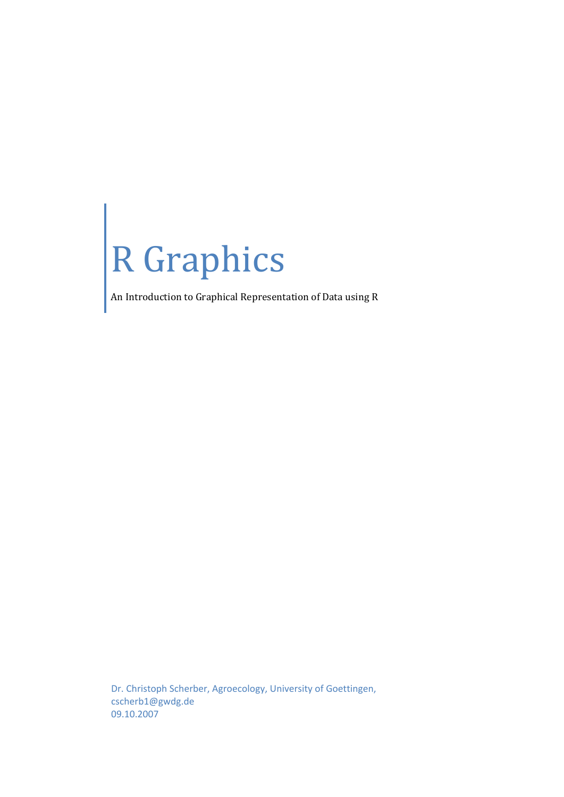# R Graphics

An Introduction to Graphical Representation of Data using R

Dr. Christoph Scherber, Agroecology, University of Goettingen, cscherb1@gwdg.de 09.10.2007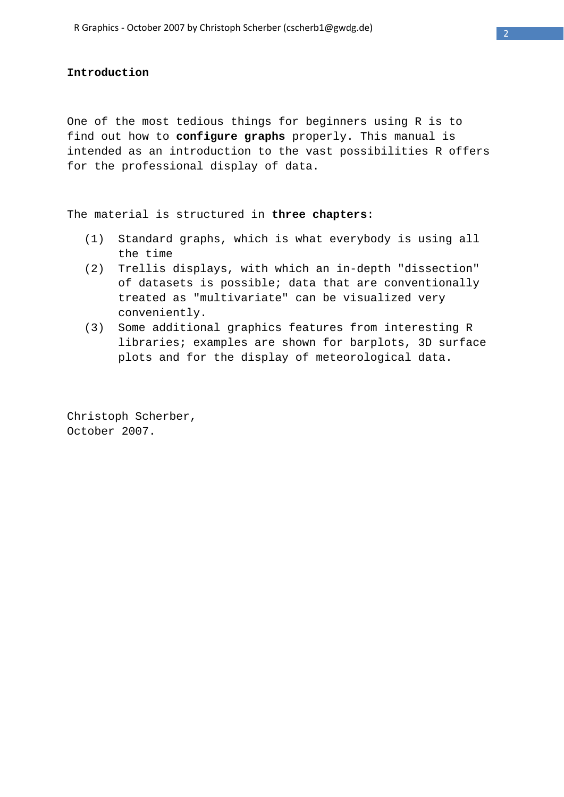## **Introduction**

One of the most tedious things for beginners using R is to find out how to **configure graphs** properly. This manual is intended as an introduction to the vast possibilities R offers for the professional display of data.

The material is structured in **three chapters**:

- (1) Standard graphs, which is what everybody is using all the time
- (2) Trellis displays, with which an in-depth "dissection" of datasets is possible; data that are conventionally treated as "multivariate" can be visualized very conveniently.
- (3) Some additional graphics features from interesting R libraries; examples are shown for barplots, 3D surface plots and for the display of meteorological data.

Christoph Scherber, October 2007.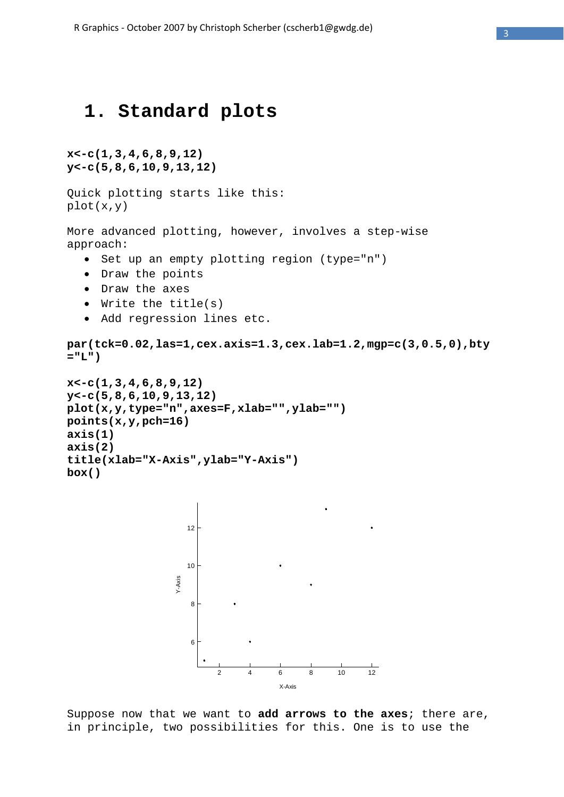# **1. Standard plots**

## **x<-c(1,3,4,6,8,9,12) y<-c(5,8,6,10,9,13,12)**

```
Quick plotting starts like this: 
plot(x,y)
```
More advanced plotting, however, involves a step-wise approach:

- Set up an empty plotting region (type="n")
- Draw the points
- Draw the axes
- Write the title(s)
- Add regression lines etc.

**par(tck=0.02,las=1,cex.axis=1.3,cex.lab=1.2,mgp=c(3,0.5,0),bty ="L")** 

```
x<-c(1,3,4,6,8,9,12) 
y<-c(5,8,6,10,9,13,12) 
plot(x,y,type="n",axes=F,xlab="",ylab="") 
points(x,y,pch=16) 
axis(1) 
axis(2) 
title(xlab="X-Axis",ylab="Y-Axis") 
box()
```


Suppose now that we want to **add arrows to the axes**; there are, in principle, two possibilities for this. One is to use the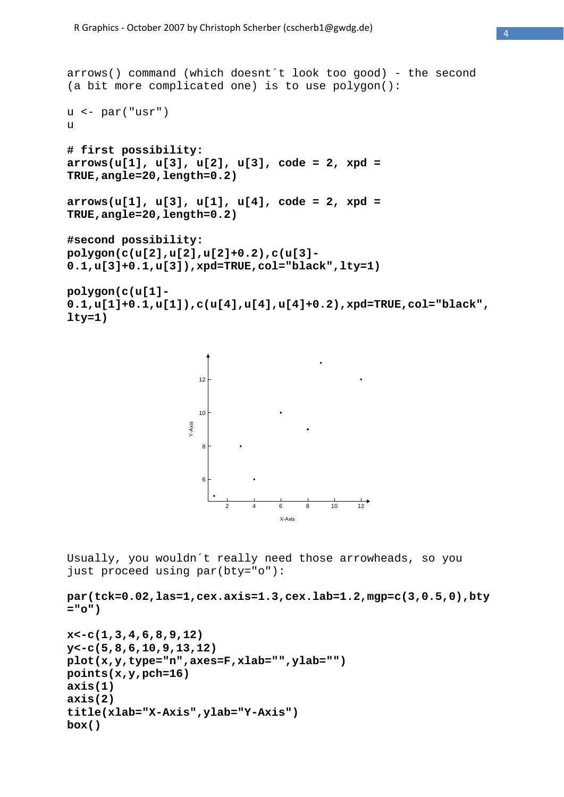```
arrows() command (which doesnt´t look too good) - the second 
(a bit more complicated one) is to use polygon(): 
u <- par("usr") 
u 
# first possibility: 
arrows(u[1], u[3], u[2], u[3], code = 2, xpd = 
TRUE,angle=20,length=0.2) 
arrows(u[1], u[3], u[1], u[4], code = 2, xpd = 
TRUE,angle=20,length=0.2) 
#second possibility: 
polygon(c(u[2],u[2],u[2]+0.2),c(u[3]-
0.1,u[3]+0.1,u[3]),xpd=TRUE,col="black",lty=1) 
polygon(c(u[1]-
0.1,u[1]+0.1,u[1]),c(u[4],u[4],u[4]+0.2),xpd=TRUE,col="black",
lty=1)
```


Usually, you wouldn´t really need those arrowheads, so you just proceed using par(bty="o"):

**par(tck=0.02,las=1,cex.axis=1.3,cex.lab=1.2,mgp=c(3,0.5,0),bty ="o")** 

```
x<-c(1,3,4,6,8,9,12) 
y<-c(5,8,6,10,9,13,12) 
plot(x,y,type="n",axes=F,xlab="",ylab="") 
points(x,y,pch=16) 
axis(1) 
axis(2) 
title(xlab="X-Axis",ylab="Y-Axis") 
box()
```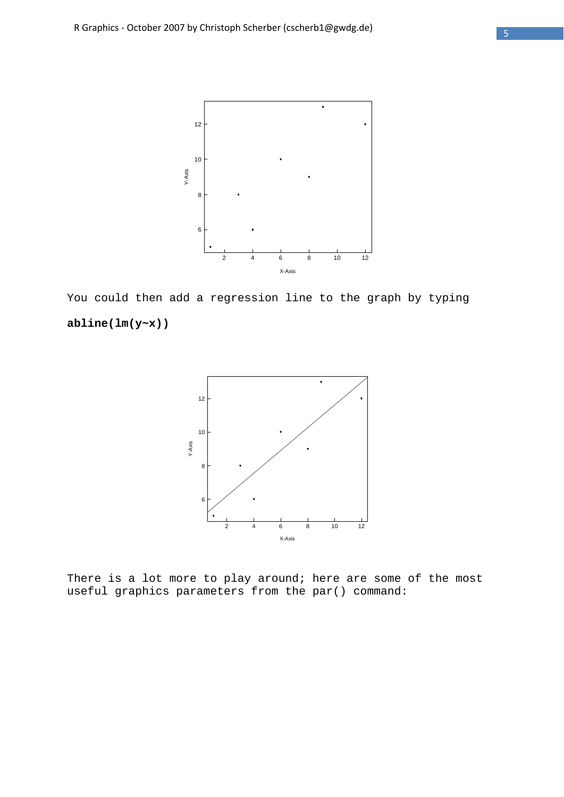

You could then add a regression line to the graph by typing **abline(lm(y~x))** 



There is a lot more to play around; here are some of the most useful graphics parameters from the par() command: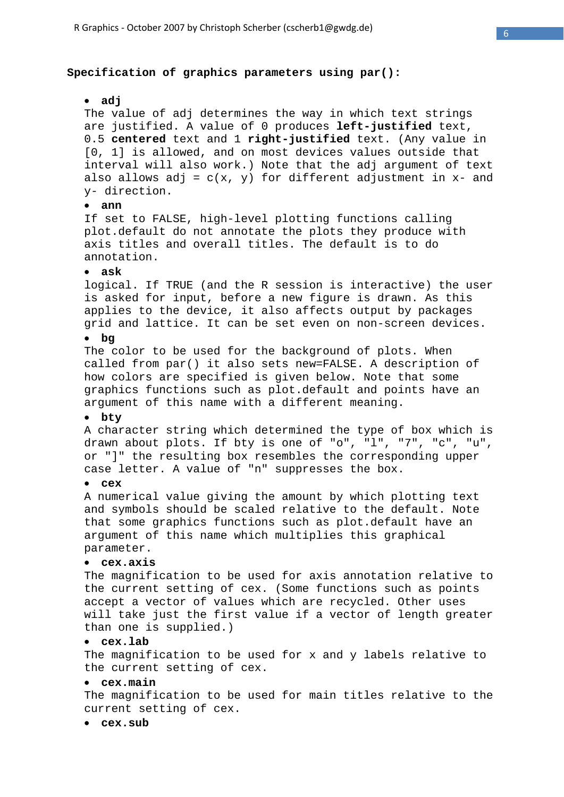#### **Specification of graphics parameters using par():**

## • **adj**

The value of adj determines the way in which text strings are justified. A value of 0 produces **left-justified** text, 0.5 **centered** text and 1 **right-justified** text. (Any value in [0, 1] is allowed, and on most devices values outside that interval will also work.) Note that the adj argument of text also allows adj =  $c(x, y)$  for different adjustment in x- and y- direction.

#### • **ann**

If set to FALSE, high-level plotting functions calling plot.default do not annotate the plots they produce with axis titles and overall titles. The default is to do annotation.

#### • **ask**

logical. If TRUE (and the R session is interactive) the user is asked for input, before a new figure is drawn. As this applies to the device, it also affects output by packages grid and lattice. It can be set even on non-screen devices.

#### • **bg**

The color to be used for the background of plots. When called from par() it also sets new=FALSE. A description of how colors are specified is given below. Note that some graphics functions such as plot.default and points have an argument of this name with a different meaning.

#### • **bty**

A character string which determined the type of box which is drawn about plots. If bty is one of "o", "l", "7", "c", "u", or "]" the resulting box resembles the corresponding upper case letter. A value of "n" suppresses the box.

#### • **cex**

A numerical value giving the amount by which plotting text and symbols should be scaled relative to the default. Note that some graphics functions such as plot.default have an argument of this name which multiplies this graphical parameter.

#### • **cex.axis**

The magnification to be used for axis annotation relative to the current setting of cex. (Some functions such as points accept a vector of values which are recycled. Other uses will take just the first value if a vector of length greater than one is supplied.)

#### • **cex.lab**

The magnification to be used for x and y labels relative to the current setting of cex.

### • **cex.main**

The magnification to be used for main titles relative to the current setting of cex.

#### • **cex.sub**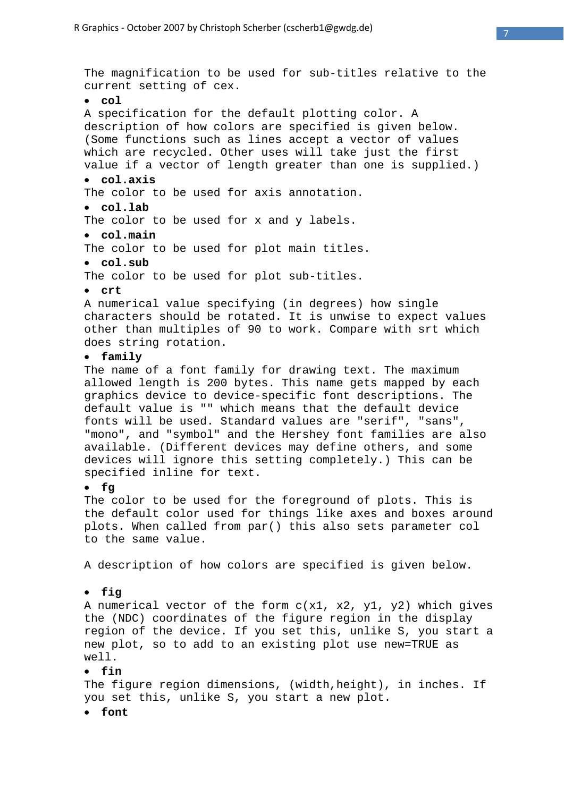The magnification to be used for sub-titles relative to the current setting of cex. • **col**  A specification for the default plotting color. A description of how colors are specified is given below. (Some functions such as lines accept a vector of values which are recycled. Other uses will take just the first value if a vector of length greater than one is supplied.) • **col.axis**  The color to be used for axis annotation. • **col.lab**  The color to be used for x and y labels. • **col.main**  The color to be used for plot main titles. • **col.sub**  The color to be used for plot sub-titles. • **crt**  A numerical value specifying (in degrees) how single characters should be rotated. It is unwise to expect values other than multiples of 90 to work. Compare with srt which does string rotation. • **family**  The name of a font family for drawing text. The maximum allowed length is 200 bytes. This name gets mapped by each graphics device to device-specific font descriptions. The default value is "" which means that the default device fonts will be used. Standard values are "serif", "sans", "mono", and "symbol" and the Hershey font families are also available. (Different devices may define others, and some devices will ignore this setting completely.) This can be specified inline for text. • **fg**  The color to be used for the foreground of plots. This is the default color used for things like axes and boxes around plots. When called from par() this also sets parameter col to the same value. A description of how colors are specified is given below. • **fig**  A numerical vector of the form  $c(x1, x2, y1, y2)$  which gives the (NDC) coordinates of the figure region in the display region of the device. If you set this, unlike S, you start a new plot, so to add to an existing plot use new=TRUE as well. • **fin**  The figure region dimensions, (width,height), in inches. If you set this, unlike S, you start a new plot.

• **font**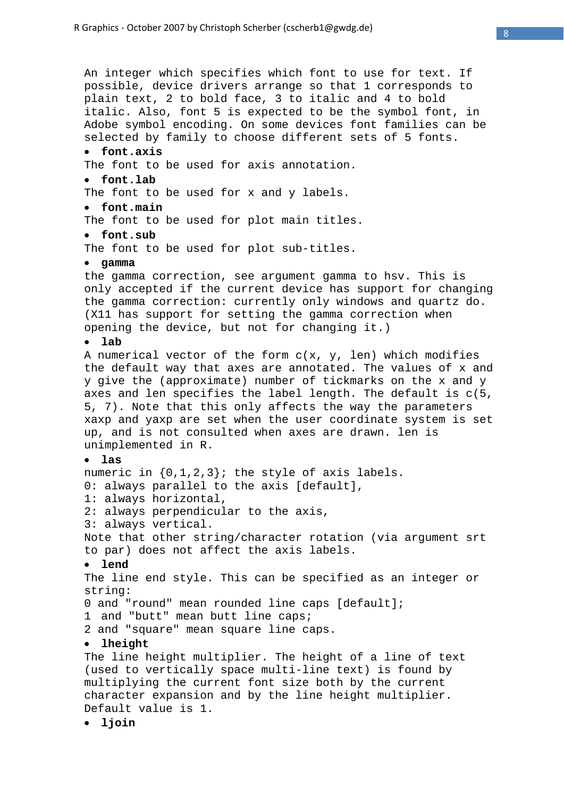An integer which specifies which font to use for text. If possible, device drivers arrange so that 1 corresponds to plain text, 2 to bold face, 3 to italic and 4 to bold italic. Also, font 5 is expected to be the symbol font, in Adobe symbol encoding. On some devices font families can be selected by family to choose different sets of 5 fonts. • **font.axis**  The font to be used for axis annotation. • **font.lab**  The font to be used for x and y labels. • **font.main**  The font to be used for plot main titles. • **font.sub**  The font to be used for plot sub-titles. • **gamma**  the gamma correction, see argument gamma to hsv. This is only accepted if the current device has support for changing the gamma correction: currently only windows and quartz do. (X11 has support for setting the gamma correction when opening the device, but not for changing it.) • **lab**  A numerical vector of the form  $c(x, y, len)$  which modifies the default way that axes are annotated. The values of x and y give the (approximate) number of tickmarks on the x and y axes and len specifies the label length. The default is c(5, 5, 7). Note that this only affects the way the parameters xaxp and yaxp are set when the user coordinate system is set up, and is not consulted when axes are drawn. len is unimplemented in R. • **las**  numeric in  $\{0,1,2,3\}$ ; the style of axis labels. 0: always parallel to the axis [default], 1: always horizontal, 2: always perpendicular to the axis, 3: always vertical. Note that other string/character rotation (via argument srt to par) does not affect the axis labels. • **lend**  The line end style. This can be specified as an integer or string: 0 and "round" mean rounded line caps [default]; 1 and "butt" mean butt line caps; 2 and "square" mean square line caps. • **lheight**  The line height multiplier. The height of a line of text (used to vertically space multi-line text) is found by multiplying the current font size both by the current character expansion and by the line height multiplier. Default value is 1. • **ljoin**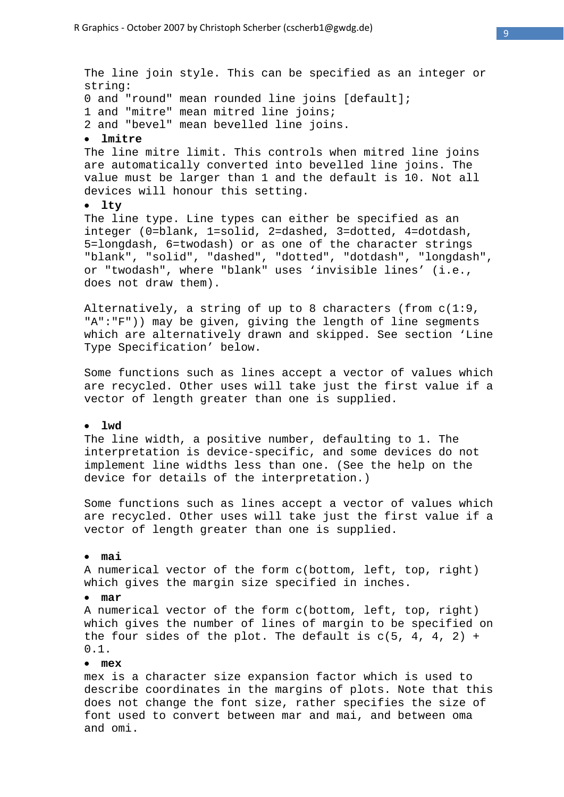The line join style. This can be specified as an integer or string: 0 and "round" mean rounded line joins [default]; 1 and "mitre" mean mitred line joins; 2 and "bevel" mean bevelled line joins. • **lmitre**  The line mitre limit. This controls when mitred line joins are automatically converted into bevelled line joins. The value must be larger than 1 and the default is 10. Not all devices will honour this setting. • **lty**  The line type. Line types can either be specified as an integer (0=blank, 1=solid, 2=dashed, 3=dotted, 4=dotdash, 5=longdash, 6=twodash) or as one of the character strings "blank", "solid", "dashed", "dotted", "dotdash", "longdash", or "twodash", where "blank" uses 'invisible lines' (i.e., does not draw them). Alternatively, a string of up to 8 characters (from c(1:9, "A":"F")) may be given, giving the length of line segments which are alternatively drawn and skipped. See section 'Line Type Specification' below.

Some functions such as lines accept a vector of values which are recycled. Other uses will take just the first value if a vector of length greater than one is supplied.

#### • **lwd**

The line width, a positive number, defaulting to 1. The interpretation is device-specific, and some devices do not implement line widths less than one. (See the help on the device for details of the interpretation.)

Some functions such as lines accept a vector of values which are recycled. Other uses will take just the first value if a vector of length greater than one is supplied.

#### • **mai**

A numerical vector of the form c(bottom, left, top, right) which gives the margin size specified in inches.

#### • **mar**

A numerical vector of the form c(bottom, left, top, right) which gives the number of lines of margin to be specified on the four sides of the plot. The default is  $c(5, 4, 4, 2)$  +  $0.1.$ 

#### • **mex**

mex is a character size expansion factor which is used to describe coordinates in the margins of plots. Note that this does not change the font size, rather specifies the size of font used to convert between mar and mai, and between oma and omi.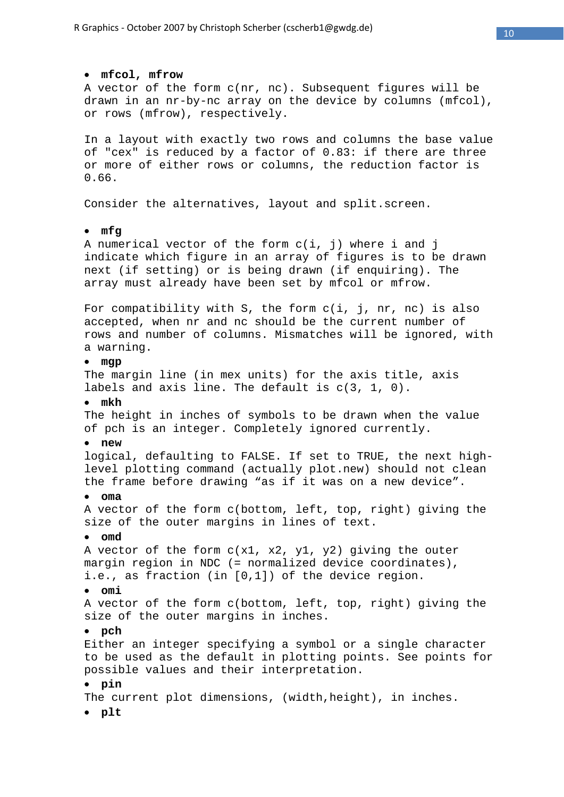• **mfcol, mfrow**  A vector of the form c(nr, nc). Subsequent figures will be drawn in an nr-by-nc array on the device by columns (mfcol), or rows (mfrow), respectively. In a layout with exactly two rows and columns the base value of "cex" is reduced by a factor of 0.83: if there are three or more of either rows or columns, the reduction factor is 0.66. Consider the alternatives, layout and split.screen. • **mfg**  A numerical vector of the form  $c(i, j)$  where i and j indicate which figure in an array of figures is to be drawn next (if setting) or is being drawn (if enquiring). The array must already have been set by mfcol or mfrow. For compatibility with S, the form c(i, j, nr, nc) is also accepted, when nr and nc should be the current number of rows and number of columns. Mismatches will be ignored, with a warning. • **mgp**  The margin line (in mex units) for the axis title, axis labels and axis line. The default is c(3, 1, 0). • **mkh**  The height in inches of symbols to be drawn when the value of pch is an integer. Completely ignored currently. • **new**  logical, defaulting to FALSE. If set to TRUE, the next highlevel plotting command (actually plot.new) should not clean the frame before drawing "as if it was on a new device". • **oma**  A vector of the form c(bottom, left, top, right) giving the size of the outer margins in lines of text. • **omd**  A vector of the form  $c(x1, x2, y1, y2)$  giving the outer margin region in NDC (= normalized device coordinates), i.e., as fraction (in [0,1]) of the device region. • **omi**  A vector of the form c(bottom, left, top, right) giving the size of the outer margins in inches. • **pch**  Either an integer specifying a symbol or a single character to be used as the default in plotting points. See points for possible values and their interpretation. • **pin**  The current plot dimensions, (width,height), in inches.

• **plt**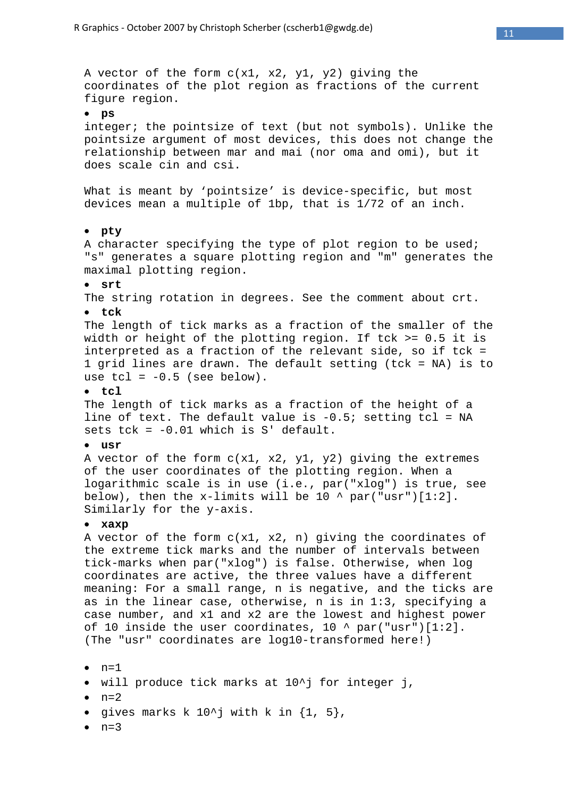A vector of the form c(x1, x2, y1, y2) giving the coordinates of the plot region as fractions of the current figure region. • **ps**  integer; the pointsize of text (but not symbols). Unlike the pointsize argument of most devices, this does not change the relationship between mar and mai (nor oma and omi), but it does scale cin and csi. What is meant by 'pointsize' is device-specific, but most devices mean a multiple of 1bp, that is 1/72 of an inch. • **pty**  A character specifying the type of plot region to be used; "s" generates a square plotting region and "m" generates the maximal plotting region. • **srt**  The string rotation in degrees. See the comment about crt. • **tck**  The length of tick marks as a fraction of the smaller of the width or height of the plotting region. If tck >= 0.5 it is interpreted as a fraction of the relevant side, so if tck = 1 grid lines are drawn. The default setting (tck = NA) is to use tcl =  $-0.5$  (see below). • **tcl**  The length of tick marks as a fraction of the height of a line of text. The default value is  $-0.5$ ; setting tcl = NA sets tck =  $-0.01$  which is S' default. • **usr**  A vector of the form  $c(x1, x2, y1, y2)$  giving the extremes of the user coordinates of the plotting region. When a logarithmic scale is in use (i.e., par("xlog") is true, see below), then the x-limits will be 10  $\land$  par("usr")[1:2]. Similarly for the y-axis. • **xaxp**  A vector of the form c(x1, x2, n) giving the coordinates of the extreme tick marks and the number of intervals between tick-marks when par("xlog") is false. Otherwise, when log coordinates are active, the three values have a different meaning: For a small range, n is negative, and the ticks are as in the linear case, otherwise, n is in 1:3, specifying a case number, and x1 and x2 are the lowest and highest power of 10 inside the user coordinates, 10  $\textdegree$  par("usr")[1:2]. (The "usr" coordinates are log10-transformed here!)

- $\bullet$  n=1
- will produce tick marks at 10^j for integer j,
- $n=2$
- gives marks k  $10^{\circ}$  with k in  $\{1, 5\}$ ,
- $\bullet$  n=3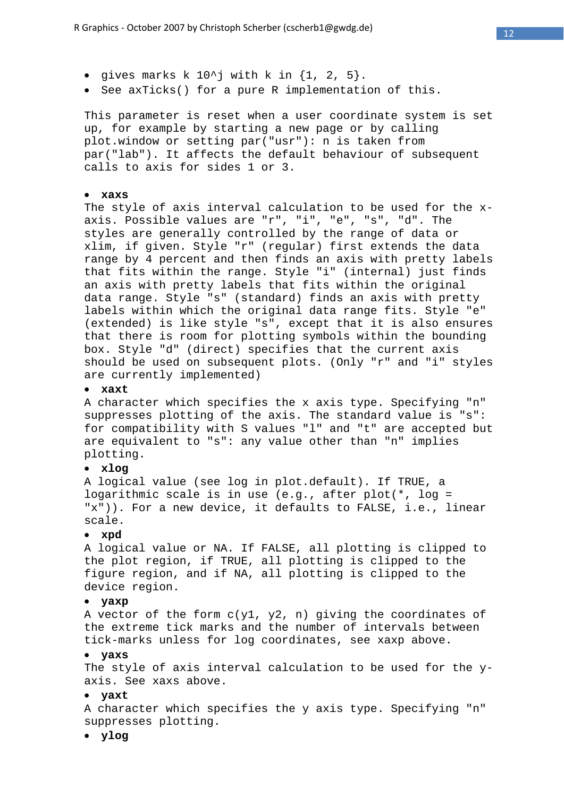- gives marks k 10^j with k in  $\{1, 2, 5\}.$
- See axTicks() for a pure R implementation of this.

This parameter is reset when a user coordinate system is set up, for example by starting a new page or by calling plot.window or setting par("usr"): n is taken from par("lab"). It affects the default behaviour of subsequent calls to axis for sides 1 or 3.

### • **xaxs**

The style of axis interval calculation to be used for the xaxis. Possible values are "r", "i", "e", "s", "d". The styles are generally controlled by the range of data or xlim, if given. Style "r" (regular) first extends the data range by 4 percent and then finds an axis with pretty labels that fits within the range. Style "i" (internal) just finds an axis with pretty labels that fits within the original data range. Style "s" (standard) finds an axis with pretty labels within which the original data range fits. Style "e" (extended) is like style "s", except that it is also ensures that there is room for plotting symbols within the bounding box. Style "d" (direct) specifies that the current axis should be used on subsequent plots. (Only "r" and "i" styles are currently implemented)

### • **xaxt**

A character which specifies the x axis type. Specifying "n" suppresses plotting of the axis. The standard value is "s": for compatibility with S values "l" and "t" are accepted but are equivalent to "s": any value other than "n" implies plotting.

#### • **xlog**

A logical value (see log in plot.default). If TRUE, a logarithmic scale is in use (e.g., after plot( $*$ , log = "x")). For a new device, it defaults to FALSE, i.e., linear scale.

#### • **xpd**

A logical value or NA. If FALSE, all plotting is clipped to the plot region, if TRUE, all plotting is clipped to the figure region, and if NA, all plotting is clipped to the device region.

## • **yaxp**

A vector of the form  $c(y1, y2, n)$  giving the coordinates of the extreme tick marks and the number of intervals between tick-marks unless for log coordinates, see xaxp above.

#### • **yaxs**

The style of axis interval calculation to be used for the yaxis. See xaxs above.

#### • **yaxt**

A character which specifies the y axis type. Specifying "n" suppresses plotting.

• **ylog**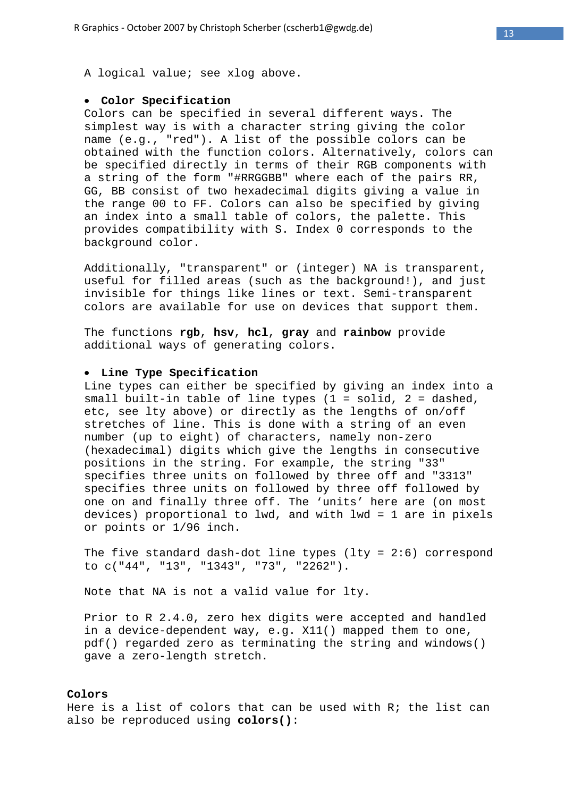A logical value; see xlog above.

#### • **Color Specification**

Colors can be specified in several different ways. The simplest way is with a character string giving the color name (e.g., "red"). A list of the possible colors can be obtained with the function colors. Alternatively, colors can be specified directly in terms of their RGB components with a string of the form "#RRGGBB" where each of the pairs RR, GG, BB consist of two hexadecimal digits giving a value in the range 00 to FF. Colors can also be specified by giving an index into a small table of colors, the palette. This provides compatibility with S. Index 0 corresponds to the background color.

Additionally, "transparent" or (integer) NA is transparent, useful for filled areas (such as the background!), and just invisible for things like lines or text. Semi-transparent colors are available for use on devices that support them.

The functions **rgb**, **hsv**, **hcl**, **gray** and **rainbow** provide additional ways of generating colors.

#### • **Line Type Specification**

Line types can either be specified by giving an index into a small built-in table of line types (1 = solid, 2 = dashed, etc, see lty above) or directly as the lengths of on/off stretches of line. This is done with a string of an even number (up to eight) of characters, namely non-zero (hexadecimal) digits which give the lengths in consecutive positions in the string. For example, the string "33" specifies three units on followed by three off and "3313" specifies three units on followed by three off followed by one on and finally three off. The 'units' here are (on most devices) proportional to lwd, and with lwd = 1 are in pixels or points or 1/96 inch.

The five standard dash-dot line types (lty = 2:6) correspond to c("44", "13", "1343", "73", "2262").

Note that NA is not a valid value for lty.

Prior to R 2.4.0, zero hex digits were accepted and handled in a device-dependent way, e.g. X11() mapped them to one, pdf() regarded zero as terminating the string and windows() gave a zero-length stretch.

#### **Colors**

Here is a list of colors that can be used with R; the list can also be reproduced using **colors()**: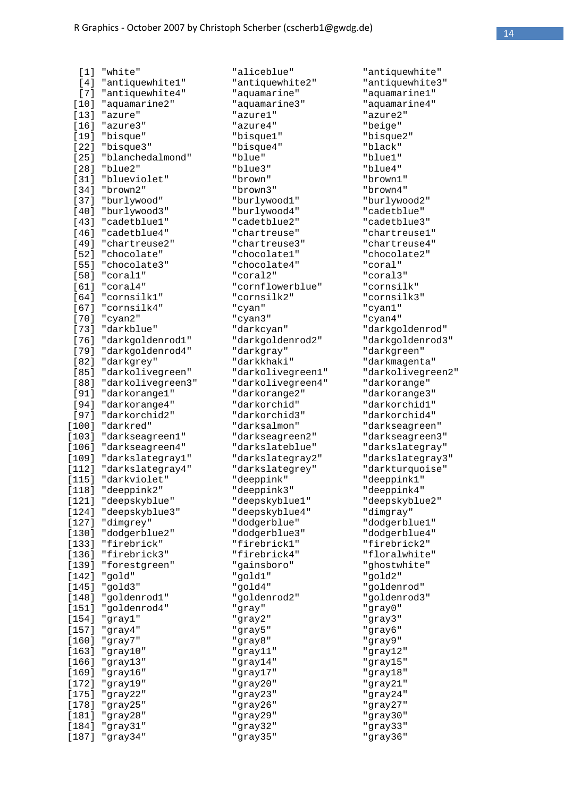[1] "white" "aliceblue" "antiquewhite" [4] "antiquewhite1" "antiquewhite2" "antiquewhite3" "antiquewhite4" "aquamarine" "aquamarine1"<br>"aquamarine2" "aquamarine3" "aquamarine4" [10] "aquamarine2" "aquamarine3" "aquamarine4" [13] "azure" "azure1" "azure2" [16] "azure3" "azure4" "beige" [19] "bisque" "bisque1" "bisque2" [22] "bisque3" "bisque4" "black" [25] "blanchedalmond" "blue" "blue1" [28] "blue2" "blue3" "blue4" [31] "blueviolet" "brown" "brown1" [34] "brown2" "brown3" "brown4" [37] "burlywood" "burlywood1" "burlywood2" [40] "burlywood3" "burlywood4" "cadetblue" [43] "cadetblue1" "cadetblue2" "cadetblue3" [46] "cadetblue4" "chartreuse" "chartreuse1" eral creative contracts.<br>
[49] "chartreuse2" "chartreuse3" "chartreuse4" [52] "chocolate" "chocolate" "chocolate2" [52] "chocolate" "chocolate1" "chocolate2" [55] "chocolate3" "chocolate4" "coral" [58] "coral1" "coral2" "coral3" [61] "coral4" "cornflowerblue" "cornsilk" [64] "cornsilk1" "cornsilk2" "cornsilk3" er a cornsilate the cornsilate to the cornsilate of the cornsistency of the cornsistency of the cornsistency of the cornsistency of the cornsistency of the cornsistency of the cornsistency of the corns of the corns of the [70] "cyan2" "cyan3" "cyan4" [73] "darkblue" "darkcyan" "darkgoldenrod" [76] "darkgoldenrod1" "darkgoldenrod2" "darkgoldenrod3" [79] "darkgoldenrod4" "darkgray" "darkgreen" [82] "darkgrey" "darkkhaki" "darkmagenta" [85] "darkolivegreen" "darkolivegreen1" "darkolivegreen2" [88] "darkolivegreen3" "darkolivegreen4" "darkorange" [91] "darkorange1" "darkorange2" "darkorange3" [94] "darkorange4" "darkorchid" "darkorchid1" [97] "darkorchid2" "darkorchid3" "darkorchid4" [100] "darkred" "darksalmon" "darkseagreen" [103] "darkseagreen1" "darkseagreen2" "darkseagreen3" [106] "darkseagreen4" "darkslateblue" "darkslategray" [109] "darkslategray1" "darkslategray2" "darkslategray3" [112] "darkslategray4" "darkslategrey" "darkturquoise" [115] "darkviolet" "deeppink" "deeppink1" [118] "deeppink2" "deeppink3" "deeppink4" [121] "deepskyblue" "deepskyblue1" "deepskyblue2" 121] "deepskyblue" | "deepskyblue1" | "deepskyblue2"<br>124] "deepskyblue3" | "deepskyblue4" | "dimgray" | "dimgrey" | "dodgerblue" | "dodgerblue1" [127] "dimgrey" "dodgerblue" "dodgerblue1" [130] "dodgerblue2" "dodgerblue3" "dodgerblue4" [133] "firebrick" "firebrick1" "firebrick2" [136] "firebrick3" "firebrick4" "floralwhite" [139] "forestgreen" "gainsboro" "ghostwhite"<br>[142] "gold" "goldl" "gold2" [142] "gold" "gold1" "gold2" [145] "gold3" "gold4" "goldenrod" [148] "goldenrod1" "goldenrod2" "goldenrod3" [151] "goldenrod4" "gray" "gray0" [154] "gray1" "gray2" "gray3" [157] "gray4" "gray5" "gray6" [160] "gray7" "gray8" "gray9" [163] "gray10" "gray11" "gray12" [166] "gray13" "gray14" "gray15" [169] "gray16" "gray17" "gray18" [172] "gray19" "gray20" "gray21" [175] "gray22" "gray23" "gray24" [178] "gray25" "gray26" "gray27" [181] "gray28" "gray29" "gray30" [184] "gray31" "gray32" "gray33"

[187] "gray34" "gray35" "gray36"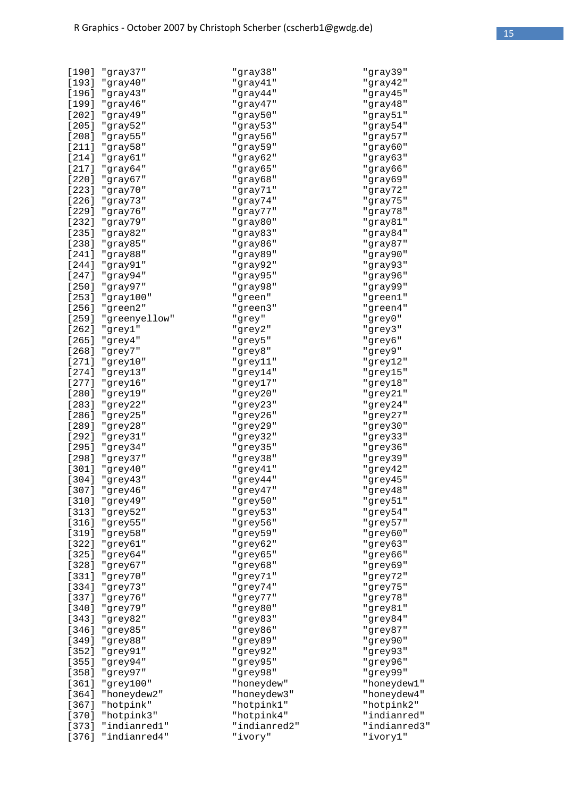| $[190]$ | "gray37"       | "gray38"                  | "gray39"                   |
|---------|----------------|---------------------------|----------------------------|
| [193]   | " $gray40"$    | "gray41"                  | "gray42"                   |
| $[196]$ | "gray43"       | "gray44"                  | "gray45"                   |
| $[199]$ | "gray46"       | "gray47"                  | "gray48"                   |
| $[202]$ | "gray49"       | "gray50"                  | "gray51"                   |
| [205]   | "gray52"       | "gray53"                  | "gray54"                   |
| $[208]$ | "gray55"       | "gray56"                  | "gray57"                   |
| $[211]$ | "gray58"       | "gray59"                  | "gray60"                   |
|         | [214] "gray61" | "gray62"                  | "gray63"                   |
| $[217]$ | "gray64"       | "gray65"                  | "gray66"                   |
| $[220]$ | "gray67"       | "gray68"                  | "gray69"                   |
| $[223]$ | "gray70"       | "gray71"                  | "gray72"                   |
| $[226]$ | "gray73"       | "gray74"                  | "gray75"                   |
| $[229]$ | "gray76"       | "gray77"                  | "gray78"                   |
| $[232]$ | "gray79"       | "gray80"                  | "gray81"                   |
| $[235]$ | "gray82"       | "gray83"                  | "gray84"                   |
|         | [238] "gray85" | "gray86"                  |                            |
| $[241]$ |                |                           | "gray87"                   |
|         | "gray88"       | "gray89"                  | "gray90"                   |
| $[244]$ | "gray91"       | "gray92"                  | "gray93"                   |
| $[247]$ | "gray94"       | "gray95"                  | "gray96"                   |
| $[250]$ | "gray97"       | "gray98"                  | "gray99"                   |
| [253]   | "gray100"      | "green"                   | "green1"                   |
| $[256]$ | "green2"       | "green3"                  | "green4"                   |
| $[259]$ | "greenyellow"  | "grey"                    | "grey0"                    |
| $[262]$ | "greyl"        | "grey2"                   | "grey3"                    |
| $[265]$ | "grey4"        | "grey5"                   | "grey6"                    |
|         | [268] "grey7"  | "grey8"                   | "grey9"                    |
| $[271]$ | "grey10"       | "grey11"                  | "grey12"                   |
| $[274]$ | "grey13"       | "grey14"                  | "grey15"                   |
| $[277]$ | "grey16"       | "grey17"                  | "grey18"                   |
| $[280]$ | "grey19"       | "grey20"                  | "grey21"                   |
| [283]   | "grey22"       | "grey23"                  | "grey24"                   |
| $[286]$ | "grey25"       | "grey26"                  | "grey27"                   |
| $[289]$ | "grey28"       | "grey29"                  | "grey30"                   |
| $[292]$ | "grey31"       | "grey32"                  | "grey33"                   |
| $[295]$ | "grey34"       | "grey35"                  | "grey36"                   |
| $[298]$ | "grey37"       | "grey38"                  | "grey39"                   |
| $[301]$ | "grey40"       | "grey41"                  | "grey42"                   |
| [304]   | "grey43"       | "grey44"                  | "grey45"                   |
| [307]   | "grey46"       | "grey47"                  | "grey48"                   |
| [310]   | "grey49"       | "grey50"                  | "grey51"                   |
| [313]   | "grey52"       | "grey53"                  | "grey54"                   |
| $[316]$ | "grey55"       | "grey56"                  | "grey57"                   |
| $[319]$ | "grey58"       | "grey59"                  | "grey60"                   |
| [322]   | "grey61"       | "grey62"                  | "grey63"                   |
| [325]   | "grey64"       | "grey65"                  | "grey66"                   |
| [328]   | "grey67"       | "grey68"                  | "grey69"                   |
| [331]   | "grey70"       | "grey71"                  | "grey72"                   |
| [334]   | "grey73"       | "grey74"                  | "grey75"                   |
| [337]   | "grey76"       | "grey77"                  | "grey78"                   |
| [340]   | "grey79"       | "grey80"                  | "grey81"                   |
| [343]   | "grey82"       | "grey83"                  | "grey84"                   |
| $[346]$ | "grey85"       | "grey86"                  | "grey87"                   |
|         | [349] "grey88" | "grey89"                  | "grey90"                   |
| [352]   | "grey91"       | "grey92"                  | "grey93"                   |
| [355]   | "grey94"       | "grey95"                  | "grey96"                   |
| [358]   | "grey97"       | "grey98"                  | "grey99"                   |
| [361]   |                |                           |                            |
| [364]   | "grey100"      | "honeydew"<br>"honeydew3" | "honeydew1"<br>"honeydew4" |
| [367]   | "honeydew2"    |                           |                            |
| $[370]$ | "hotpink"      | "hotpink1"                | "hotpink2"<br>"indianred"  |
|         | "hotpink3"     | "hotpink4"                |                            |
| [373]   | "indianred1"   | "indianred2"              | "indianred3"               |
| $[376]$ | "indianred4"   | "ivory"                   | "ivory1"                   |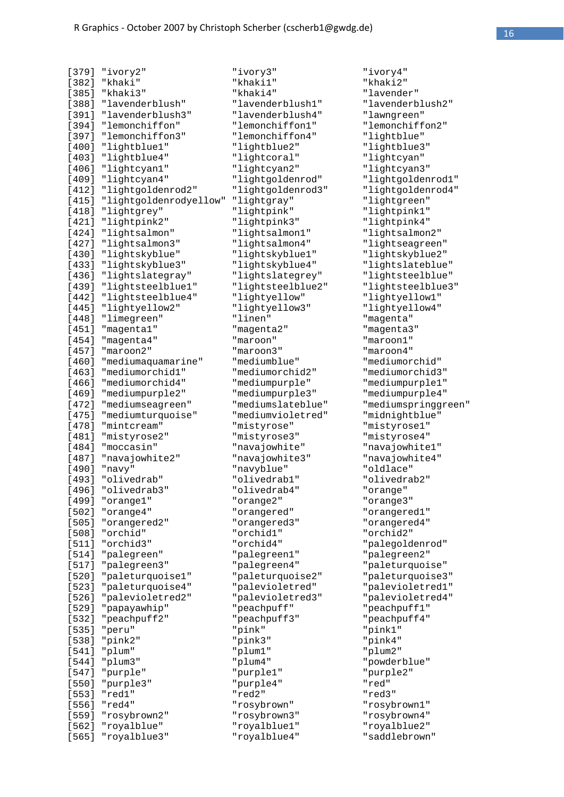[379] "ivory2" "ivory3" "ivory4" [382] "khaki" "khaki1" "khaki2" [385] "khaki3" "khaki4" "lavender" [388] "lavenderblush" "lavenderblush1" "lavenderblush2" [391] "lavenderblush3" "lavenderblush4" [394] "lemonchiffon" "lemonchiffon1" "lemonchiffon2" [397] "lemonchiffon3" "lemonchiffon4" "lightblue" [400] "lightblue1" "lightblue2" "lightblue3" [403] "lightblue4" "lightcoral" "lightcyan" [406] "lightcyan1" "lightcyan2" "lightcyan3" [412] "lightgoldenrod2" "lightgoldenrod3" "lightgolden<br>[415] "lightgoldenrodyellow" "lightgray" "lightgreen" [415] "lightgoldenrodyellow" "lightgray" "lightgreen"<br>[418] "lightqrey" "lightpink" "lightpinkl" [418] "lightgrey" "lightpink"<br>[421] "lightpink2" "lightpink3" [421] "lightpink2" "lightpink3" "lightpink4" [424] "lightsalmon" "lightsalmon1" "lightsalmon2" [427] "lightsalmon3" "lightsalmon4" "lightseagreen" [430] "lightskyblue" "lightskyblue1" "lightskyblue2"<br>[433] "lightskyblue3" "lightskyblue4" "lightslateblue" [433] "lightskyblue3" "lightskyblue4"<br>[436] "lightslategray" "lightslategrey" [436] "lightslategray" "lightslategrey" "lightsteelblue" [439] "lightsteelblue1" "lightsteelblue2" "lightsteelblue3" [442] "lightsteelblue4" "lightyellow" "lightyellow1" [445] "lightyellow2" "lightyellow3" "lightyellow4" [448] "limegreen" "linen" "magenta" [451] "magenta1" "magenta2" "magenta3" [454] "magenta4" "maroon" "maroon1" [457] "maroon2" "maroon3" "maroon4" [460] "mediumaquamarine" "mediumblue" "mediumorchid" [463] "mediumorchid1" "mediumorchid2" "mediumorchid3" [466] "mediumorchid4" "mediumpurple" "mediumpurple1" [469] "mediumpurple2" "mediumpurple3" "mediumpurple4" [472] "mediumseagreen" "mediumslateblue" "mediumspringgreen"<br>[475] "mediumturquoise" "mediumvioletred" "midnightblue" [475] "mediumturquoise" "mediumvioletred" "midnightblue" [478] "mintcream" "mistyrose" "mistyrose1" [481] "mistyrose2" "mistyrose3" "mistyrose4" [484] "moccasin" "navajowhite" "navajowhite1" [487] "navajowhite2" "navajowhite3" "navajowhite4" [490] "navy" "navyblue" "oldlace" [493] "olivedrab" "olivedrab1" "olivedrab2" [496] "olivedrab3" "olivedrab4" "orange" [499] "orange1" "orange2" "orange3" [502] "orange4" "orangered" "orangered1" [505] "orangered2" "orangered3" "orangered4" [508] "orchid" "orchid1" "orchid2" [511] "orchid3" "orchid4" "palegoldenrod" [514] "palegreen" "palegreen1" "palegreen2" [517] "palegreen3" "palegreen4" "paleturquoise" [520] "paleturquoise1" "paleturquoise2" "paleturquoise3" [523] "paleturquoise4" "palevioletred" "palevioletred1" [526] "palevioletred2" "palevioletred3" "palevioletred4" [529] "papayawhip" "peachpuff" "peachpuff1" [532] "peachpuff2" "peachpuff3" "peachpuff4" [535] "peru" "pink" "pink1"<br>[538] "pink2" "pink3" "pink4" [538] "pink2" "pink3" "pink4" [541] "plum" "plum1" "plum2" [544] "plum3" "plum4" "powderblue" [547] "purple" "purple1" "purple2" [550] "purple3" "purple4" "red" [553] "red1" "red2" "red3" [556] "red4" "rosybrown" "rosybrown1" [559] "rosybrown2" "rosybrown3" "rosybrown4" [562] "royalblue" "royalblue1" "royalblue2" [565] "royalblue3" "royalblue4" "saddlebrown"

"lightgoldenrod" "lightgoldenrod1"<br>"lightgoldenrod3" "lightgoldenrod4"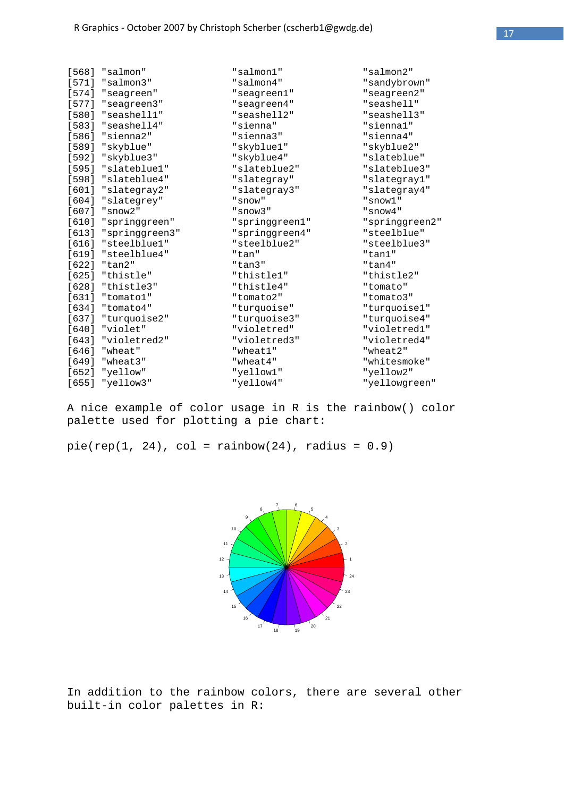| $[568]$ | "salmon"       | "salmon1"      | "salmon2"      |
|---------|----------------|----------------|----------------|
| $[571]$ | "salmon3"      | "salmon4"      | "sandybrown"   |
| $[574]$ | "seagreen"     | "seagreen1"    | "seagreen2"    |
| $[577]$ | "seagreen3"    | "seagreen4"    | "seashell"     |
| $[580]$ | "seashell1"    | "seashell2"    | "seashell3"    |
| $[583]$ | "seashell4"    | "sienna"       | "siennal"      |
| $[586]$ | "sienna2"      | "sienna3"      | "sienna4"      |
| $[589]$ | "skyblue"      | "skyblue1"     | "skyblue2"     |
| $[592]$ | "skyblue3"     | "skyblue4"     | "slateblue"    |
| $[595]$ | "slateblue1"   | "slateblue2"   | "slateblue3"   |
| [598]   | "slateblue4"   | "slategray"    | "slategray1"   |
| $[601]$ | "slategray2"   | "slategray3"   | "slategray4"   |
| $[604]$ | "slategrey"    | "snow"         | "snow1"        |
| $[607]$ | "snow2"        | $"$ snow $3"$  | "snow4"        |
| $[610]$ | "springgreen"  | "springgreen1" | "springgreen2" |
| $[613]$ | "springgreen3" | "springgreen4" | "steelblue"    |
| $[616]$ | "steelblue1"   | "steelblue2"   | "steelblue3"   |
| $[619]$ | "steelblue4"   | "tan"          | "tan1"         |
| $[622]$ | "tan2"         | "tan3"         | "tan4"         |
| [625]   | "thistle"      | "thistle1"     | "thistle2"     |
| $[628]$ | "thistle3"     | "thistle4"     | "tomato"       |
| [631]   | "tomatol"      | "tomato2"      | "tomato3"      |
| [634]   | "tomato4"      | "turquoise"    | "turquoise1"   |
| [637]   | "turquoise2"   | "turquoise3"   | "turquoise4"   |
| $[640]$ | "violet"       | "violetred"    | "violetred1"   |
| [643]   | "violetred2"   | "violetred3"   | "violetred4"   |
| [646]   | "wheat"        | "wheat1"       | "wheat2"       |
| $[649]$ | "wheat3"       | "wheat4"       | "whitesmoke"   |
| $[652]$ | "yellow"       | "yellow1"      | "yellow2"      |
| [655]   | "yellow3"      | "yellow4"      | "yellowgreen"  |

A nice example of color usage in R is the rainbow() color palette used for plotting a pie chart:

 $pie(rep(1, 24), col = rainbow(24), radius = 0.9)$ 



In addition to the rainbow colors, there are several other built-in color palettes in R: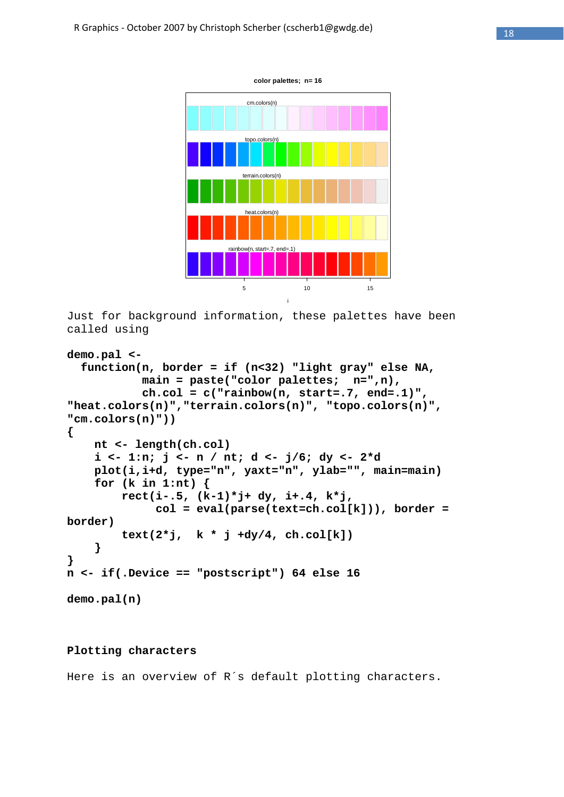

Just for background information, these palettes have been called using

```
demo.pal <- 
   function(n, border = if (n<32) "light gray" else NA, 
            main = paste("color palettes; n=",n), 
            ch.col = c("rainbow(n, start=.7, end=.1)", 
"heat.colors(n)","terrain.colors(n)", "topo.colors(n)", 
"cm.colors(n)")) 
{ 
     nt <- length(ch.col) 
     i <- 1:n; j <- n / nt; d <- j/6; dy <- 2*d 
     plot(i,i+d, type="n", yaxt="n", ylab="", main=main) 
     for (k in 1:nt) { 
         rect(i-.5, (k-1)*j+ dy, i+.4, k*j, 
               col = eval(parse(text=ch.col[k])), border = 
border) 
         text(2*j, k * j +dy/4, ch.col[k]) 
     } 
} 
n <- if(.Device == "postscript") 64 else 16 
demo.pal(n)
```
### **Plotting characters**

Here is an overview of R´s default plotting characters.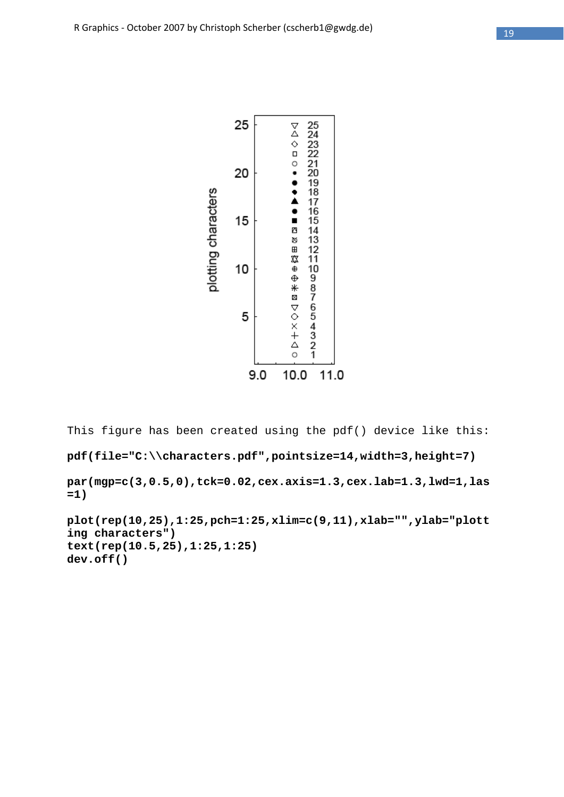

This figure has been created using the pdf() device like this: **pdf(file="C:\\characters.pdf",pointsize=14,width=3,height=7) par(mgp=c(3,0.5,0),tck=0.02,cex.axis=1.3,cex.lab=1.3,lwd=1,las =1) plot(rep(10,25),1:25,pch=1:25,xlim=c(9,11),xlab="",ylab="plott ing characters") text(rep(10.5,25),1:25,1:25)** 

**dev.off()**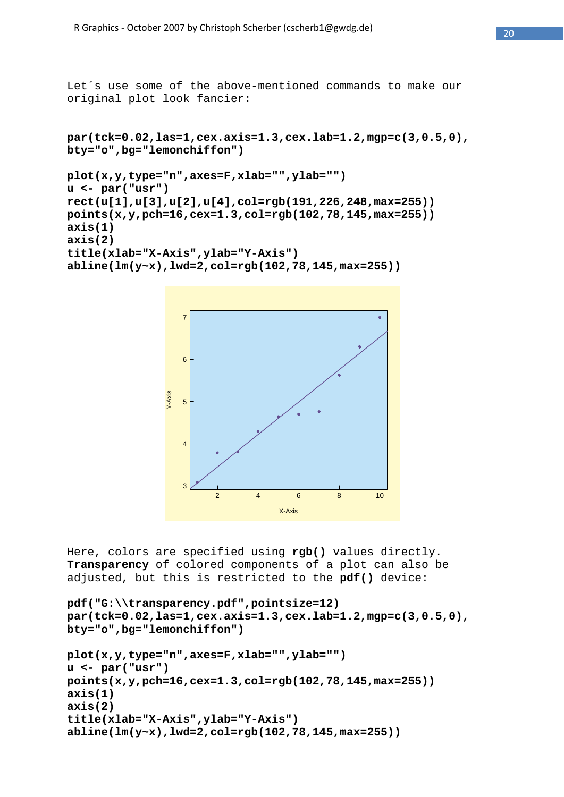Let´s use some of the above-mentioned commands to make our original plot look fancier:

```
par(tck=0.02,las=1,cex.axis=1.3,cex.lab=1.2,mgp=c(3,0.5,0), 
bty="o",bg="lemonchiffon")
```

```
plot(x,y,type="n",axes=F,xlab="",ylab="") 
u <- par("usr") 
rect(u[1],u[3],u[2],u[4],col=rgb(191,226,248,max=255)) 
points(x,y,pch=16,cex=1.3,col=rgb(102,78,145,max=255)) 
axis(1) 
axis(2) 
title(xlab="X-Axis",ylab="Y-Axis") 
abline(lm(y~x),lwd=2,col=rgb(102,78,145,max=255))
```


Here, colors are specified using **rgb()** values directly. **Transparency** of colored components of a plot can also be adjusted, but this is restricted to the **pdf()** device:

```
pdf("G:\\transparency.pdf",pointsize=12) 
par(tck=0.02,las=1,cex.axis=1.3,cex.lab=1.2,mgp=c(3,0.5,0), 
bty="o",bg="lemonchiffon") 
plot(x,y,type="n",axes=F,xlab="",ylab="") 
u <- par("usr") 
points(x,y,pch=16,cex=1.3,col=rgb(102,78,145,max=255)) 
axis(1) 
axis(2) 
title(xlab="X-Axis",ylab="Y-Axis")
```

```
abline(lm(y~x),lwd=2,col=rgb(102,78,145,max=255))
```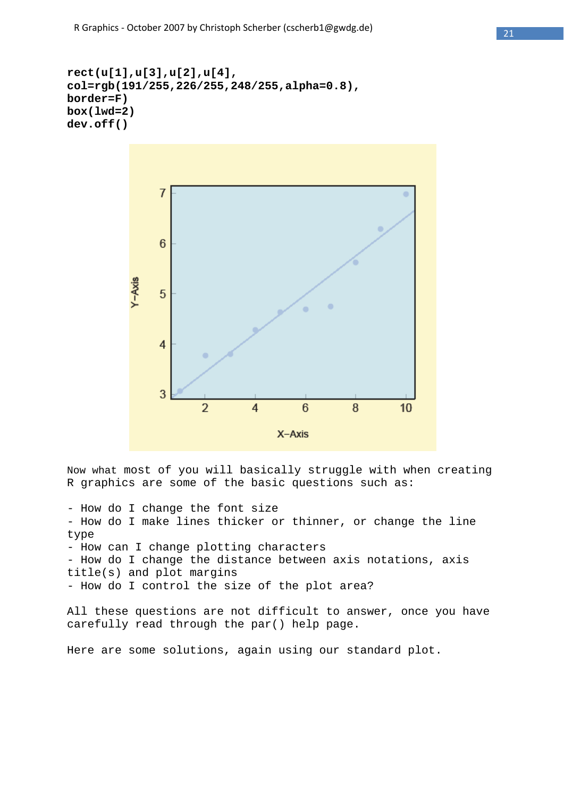```
rect(u[1],u[3],u[2],u[4], 
col=rgb(191/255,226/255,248/255,alpha=0.8), 
border=F) 
box(lwd=2) 
dev.off()
```


Now what most of you will basically struggle with when creating R graphics are some of the basic questions such as:

- How do I change the font size - How do I make lines thicker or thinner, or change the line type - How can I change plotting characters - How do I change the distance between axis notations, axis title(s) and plot margins - How do I control the size of the plot area?

All these questions are not difficult to answer, once you have carefully read through the par() help page.

Here are some solutions, again using our standard plot.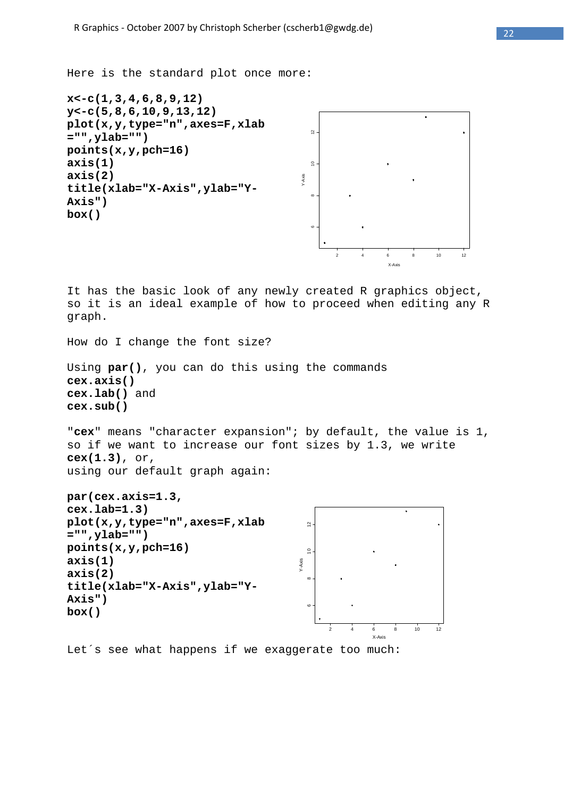Here is the standard plot once more:



It has the basic look of any newly created R graphics object, so it is an ideal example of how to proceed when editing any R graph.

How do I change the font size?

Using **par()**, you can do this using the commands **cex.axis() cex.lab()** and **cex.sub()** 

"**cex**" means "character expansion"; by default, the value is 1, so if we want to increase our font sizes by 1.3, we write **cex(1.3)**, or, using our default graph again:



Let´s see what happens if we exaggerate too much: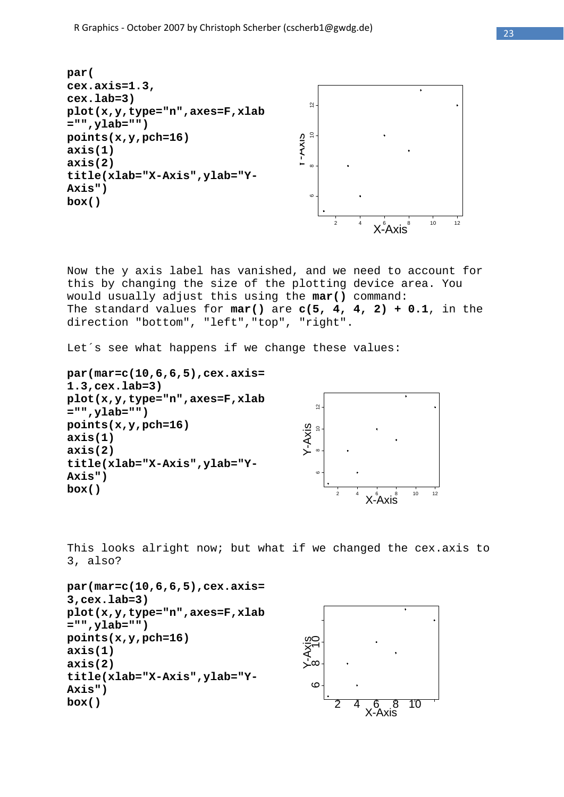

Now the y axis label has vanished, and we need to account for this by changing the size of the plotting device area. You would usually adjust this using the **mar()** command: The standard values for **mar()** are **c(5, 4, 4, 2) + 0.1**, in the direction "bottom", "left","top", "right".

Let´s see what happens if we change these values:

```
par(mar=c(10,6,6,5),cex.axis=
1.3,cex.lab=3) 
plot(x,y,type="n",axes=F,xlab
="",ylab="") 
points(x,y,pch=16) 
axis(1) 
axis(2) 
title(xlab="X-Axis",ylab="Y-
Axis") 
box()
```


This looks alright now; but what if we changed the cex.axis to 3, also?

**par(mar=c(10,6,6,5),cex.axis= 3,cex.lab=3) plot(x,y,type="n",axes=F,xlab ="",ylab="") points(x,y,pch=16) axis(1) axis(2) title(xlab="X-Axis",ylab="Y-Axis") box()** 

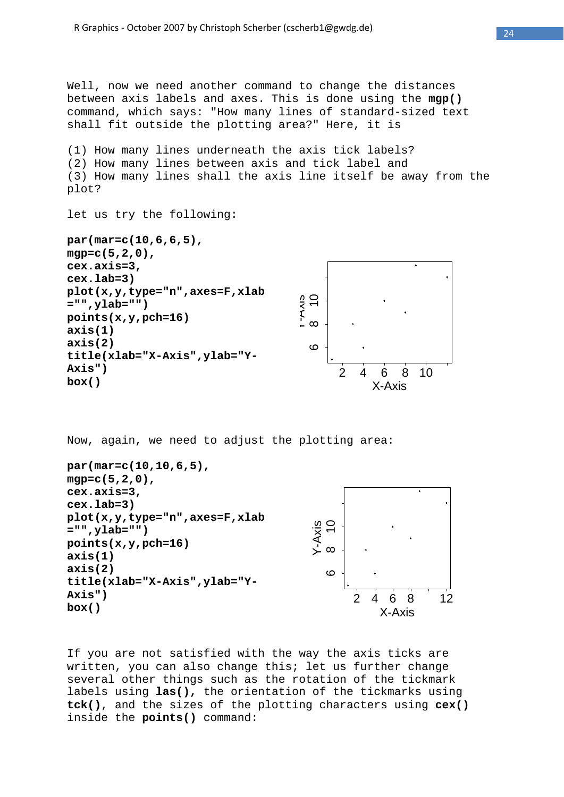Well, now we need another command to change the distances between axis labels and axes. This is done using the **mgp()** command, which says: "How many lines of standard-sized text shall fit outside the plotting area?" Here, it is

(1) How many lines underneath the axis tick labels? (2) How many lines between axis and tick label and (3) How many lines shall the axis line itself be away from the plot?

let us try the following:



Now, again, we need to adjust the plotting area:



If you are not satisfied with the way the axis ticks are written, you can also change this; let us further change several other things such as the rotation of the tickmark labels using **las(),** the orientation of the tickmarks using **tck()**, and the sizes of the plotting characters using **cex()** inside the **points()** command: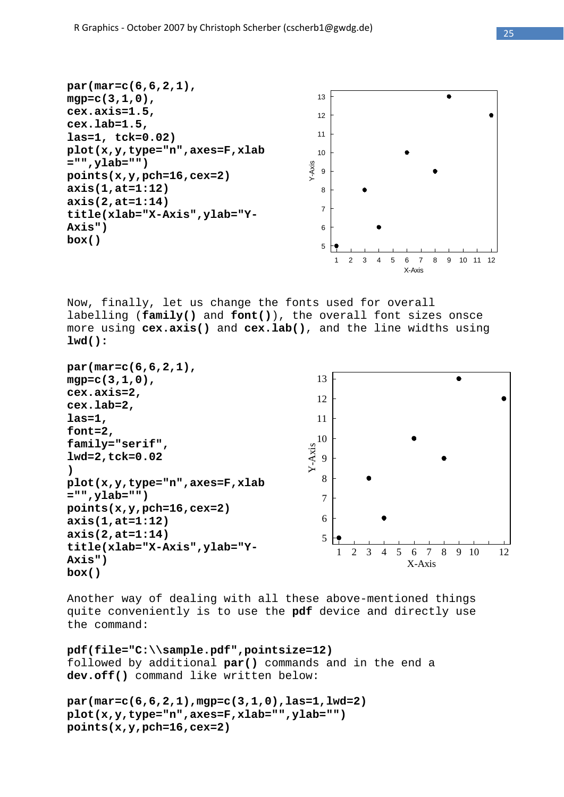```
par(mar=c(6,6,2,1), 
mgp=c(3,1,0), 
cex.axis=1.5, 
cex.lab=1.5, 
las=1, tck=0.02) 
plot(x,y,type="n",axes=F,xlab
="",ylab="") 
points(x,y,pch=16,cex=2) 
axis(1,at=1:12) 
axis(2,at=1:14) 
title(xlab="X-Axis",ylab="Y-
Axis") 
box()
```


Now, finally, let us change the fonts used for overall labelling (**family()** and **font()**), the overall font sizes onsce more using **cex.axis()** and **cex.lab()**, and the line widths using **lwd():**



Another way of dealing with all these above-mentioned things quite conveniently is to use the **pdf** device and directly use the command:

#### **pdf(file="C:\\sample.pdf",pointsize=12)**

followed by additional **par()** commands and in the end a **dev.off()** command like written below:

**par(mar=c(6,6,2,1),mgp=c(3,1,0),las=1,lwd=2) plot(x,y,type="n",axes=F,xlab="",ylab="") points(x,y,pch=16,cex=2)**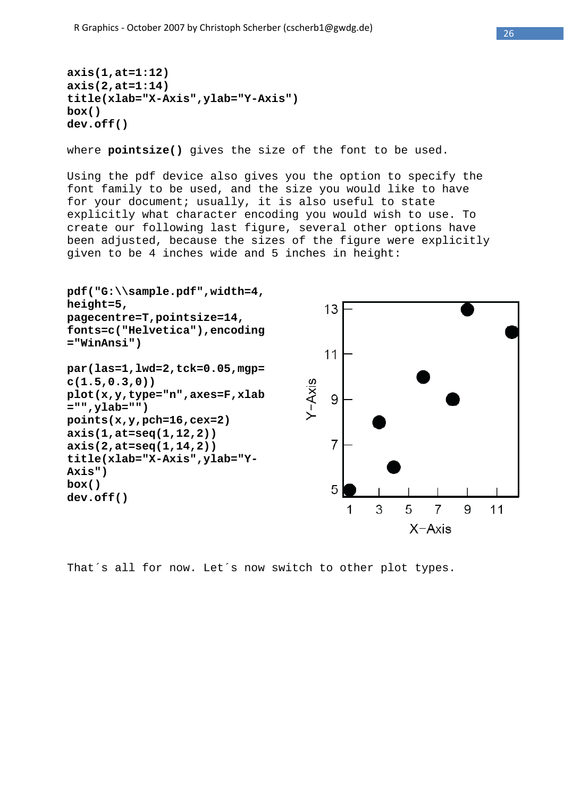```
axis(1,at=1:12) 
axis(2,at=1:14) 
title(xlab="X-Axis",ylab="Y-Axis") 
box() 
dev.off()
```
where **pointsize()** gives the size of the font to be used.

Using the pdf device also gives you the option to specify the font family to be used, and the size you would like to have for your document; usually, it is also useful to state explicitly what character encoding you would wish to use. To create our following last figure, several other options have been adjusted, because the sizes of the figure were explicitly given to be 4 inches wide and 5 inches in height:



That´s all for now. Let´s now switch to other plot types.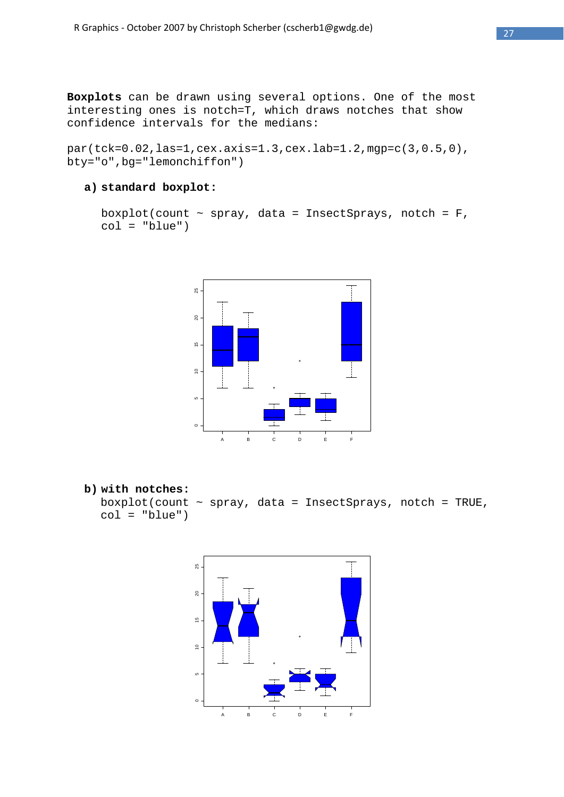**Boxplots** can be drawn using several options. One of the most interesting ones is notch=T, which draws notches that show confidence intervals for the medians:

par(tck=0.02,las=1,cex.axis=1.3,cex.lab=1.2,mgp=c(3,0.5,0), bty="o",bg="lemonchiffon")

## **a) standard boxplot:**

boxplot(count  $\sim$  spray, data = InsectSprays, notch = F,  $col = "blue")$ 



#### **b) with notches:**

boxplot(count  $\sim$  spray, data = InsectSprays, notch = TRUE,  $col = "blue")$ 

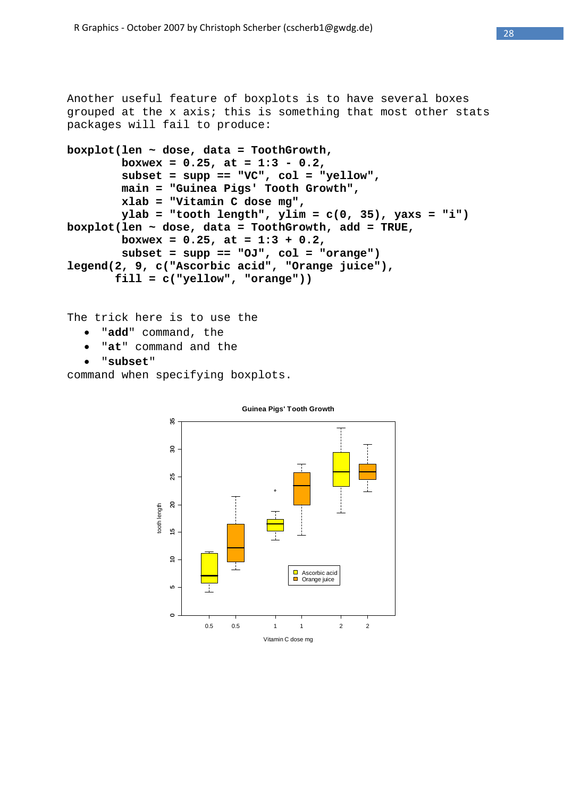Another useful feature of boxplots is to have several boxes grouped at the x axis; this is something that most other stats packages will fail to produce:

```
boxplot(len ~ dose, data = ToothGrowth, 
         boxwex = 0.25, at = 1:3 - 0.2, 
         subset = supp == "VC", col = "yellow", 
         main = "Guinea Pigs' Tooth Growth", 
         xlab = "Vitamin C dose mg", 
        ylab = "tooth length", ylim = c(0, 35), yaxs = "i")boxplot(len ~ dose, data = ToothGrowth, add = TRUE, 
         boxwex = 0.25, at = 1:3 + 0.2, 
         subset = supp == "OJ", col = "orange") 
legend(2, 9, c("Ascorbic acid", "Orange juice"), 
        fill = c("yellow", "orange"))
```

```
The trick here is to use the
```
- "**add**" command, the
- "**at**" command and the
- "**subset**"

command when specifying boxplots.

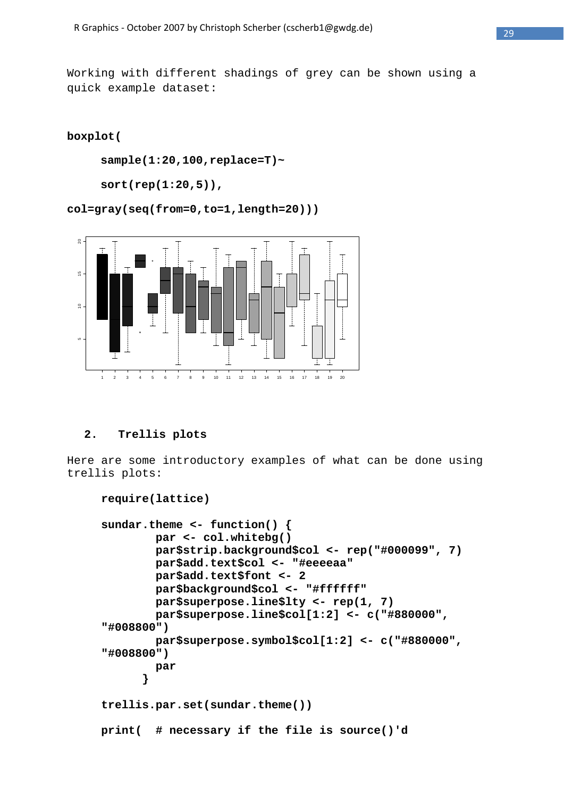Working with different shadings of grey can be shown using a quick example dataset:

**boxplot(** 

 **sample(1:20,100,replace=T)~** 

 **sort(rep(1:20,5)),** 

**col=gray(seq(from=0,to=1,length=20)))**



## **2. Trellis plots**

Here are some introductory examples of what can be done using trellis plots:

```
require(lattice) 
sundar.theme <- function() { 
         par <- col.whitebg() 
         par$strip.background$col <- rep("#000099", 7) 
         par$add.text$col <- "#eeeeaa" 
         par$add.text$font <- 2 
         par$background$col <- "#ffffff" 
         par$superpose.line$lty <- rep(1, 7) 
         par$superpose.line$col[1:2] <- c("#880000", 
"#008800") 
         par$superpose.symbol$col[1:2] <- c("#880000", 
"#008800") 
         par 
       } 
trellis.par.set(sundar.theme()) 
print( # necessary if the file is source()'d
```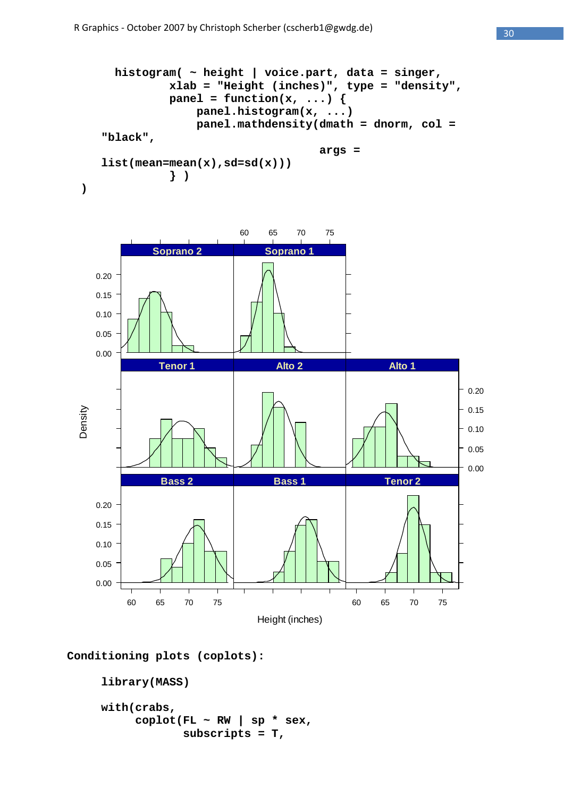

**Conditioning plots (coplots):** 

```
library(MASS)
```

```
with(crabs, 
      coplot(FL ~ RW | sp * sex, 
              subscripts = T,
```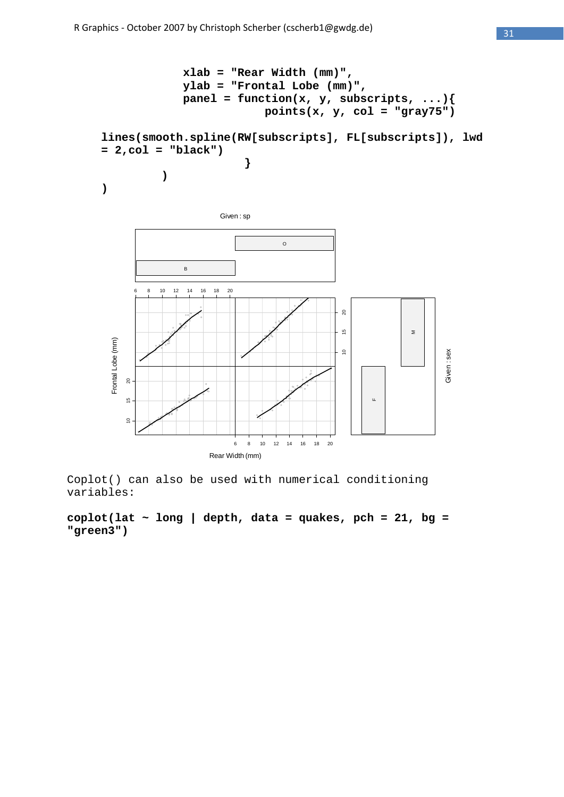```
 xlab = "Rear Width (mm)", 
                         ylab = "Frontal Lobe (mm)", 
                        panel = function(x, y, substance; ...) points(x, y, col = "gray75") 
      lines(smooth.spline(RW[subscripts], FL[subscripts]), lwd 
      = 2,col = "black") 
        } 
        ) 
        ) 
                                Given : sp
                                             O
                        B
                6 8 10 12 14 16 18 20
                                                          2010 15 20
                                                         \overline{5}M
         Frontal Lobe (mm)
                                                         \tilde{e}Given: sex
                                                                                Given : sexE<br>Coplot() c<br>variables:<br>coplot(lat<br>"green3")
                                                                F6 8 10 12 14 16 18 20
                             Rear Width (mm)
```
Coplot() can also be used with numerical conditioning variables:

**coplot(lat ~ long | depth, data = quakes, pch = 21, bg =**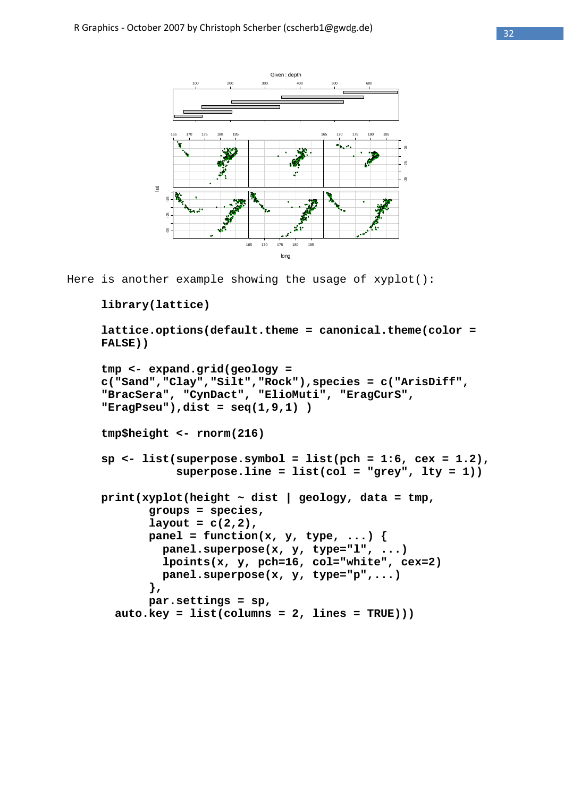



```
library(lattice)
```

```
lattice.options(default.theme = canonical.theme(color = 
      FALSE)) 
      tmp <- expand.grid(geology = 
      c("Sand","Clay","Silt","Rock"),species = c("ArisDiff", 
      "BracSera", "CynDact", "ElioMuti", "EragCurS", 
      "EragPseu"),dist = seq(1,9,1) ) 
      tmp$height <- rnorm(216) 
      sp <- list(superpose.symbol = list(pch = 1:6, cex = 1.2), 
                      superpose.line = list(col = "grey", lty = 1)) 
      print(xyplot(height ~ dist | geology, data = tmp, 
                groups = species, 
               layout = c(2,2),
               panel = function(x, y, type, ...) panel.superpose(x, y, type="l", ...) 
                   lpoints(x, y, pch=16, col="white", cex=2) 
                   panel.superpose(x, y, type="p",...) 
                }, 
                par.settings = sp, 
Here is another example showing the usage of xyplot<br>
Here is another example showing the usage of xyplot<br>
(library(lattice)<br>
lattice.options(default.theme = canonical.theme<br>
FALSE))<br>
tmp <- examd.grid(geology =<br>
c("Sand","
```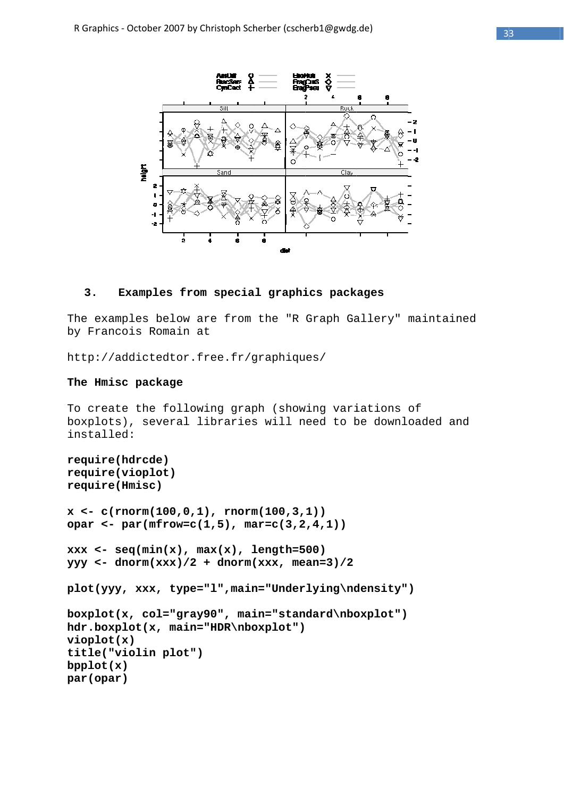

#### **3. Exampl les from m specia l graphi ics pack kages**

The examples below are from the "R Graph Gallery" maintained by Francois Romain at

http://addictedtor.free.fr/graphiques/

## **The Hm misc pac ckage**

To create the following graph (showing variations of boxplots), several libraries will need to be downloaded and installed:

```
\texttt{require}(\texttt{hdr}cde)
requir
re(viopl
lot) 
\texttt{require}(\texttt{Hmisc})x <- c
c(rnorm(
(100,0,1)
), rnorm
m(100,3,
1)) 
opar <
<- par(m
mfrow=c(1
1,5), ma
ar=c(3,2
,4,1)) 
xxx <-
- seq(mi
in(x), ma
max(x), l
length=5
00) 
yyy <-
- dnorm(
(xxx)/2 +
+ dnorm(
(xxx, me
an=3)/2
plot(y
yyy, xxx
x, type="
"l",main
n="Under
lying\nd
density"
) 
boxplot(x, col="gray90", main="standard\nboxplot")
hdr.bo
oxplot(x
x, main="
"HDR\nbo
oxplot")
vioplo
ot(x) 
title(
("violin
n plot") 
bpplot
t(x) 
par(op
par)
```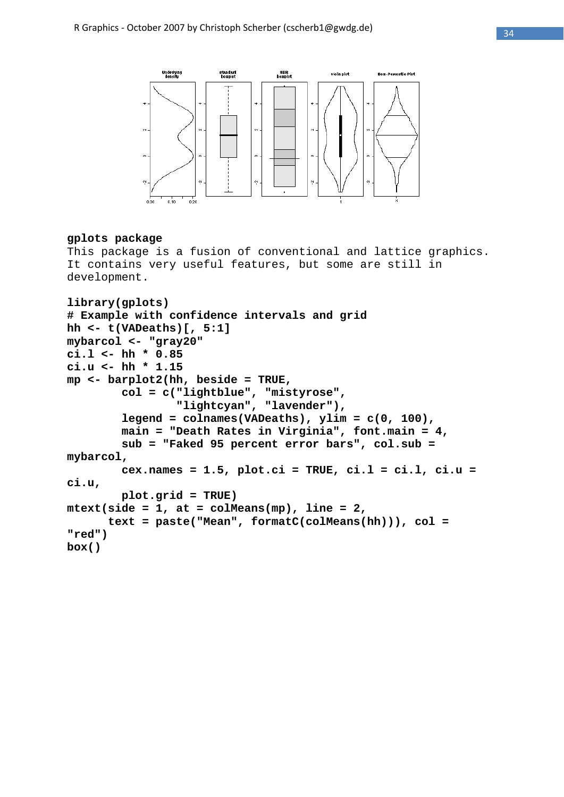

#### **gplots package**

This package is a fusion of conventional and lattice graphics. It contains very useful features, but some are still in development.

```
library(gplots)
```

```
# Example with confidence intervals and grid 
hh <- t(VADeaths)[, 5:1] 
mybarcol <- "gray20" 
ci.l <- hh * 0.85 
ci.u <- hh * 1.15 
mp <- barplot2(hh, beside = TRUE, 
         col = c("lightblue", "mistyrose", 
                  "lightcyan", "lavender"), 
         legend = colnames(VADeaths), ylim = c(0, 100), 
         main = "Death Rates in Virginia", font.main = 4, 
         sub = "Faked 95 percent error bars", col.sub = 
mybarcol, 
         cex.names = 1.5, plot.ci = TRUE, ci.l = ci.l, ci.u = 
ci.u, 
         plot.grid = TRUE) 
mtext(side = 1, at = colMeans(mp), line = 2, 
       text = paste("Mean", formatC(colMeans(hh))), col = 
"red") 
box()
```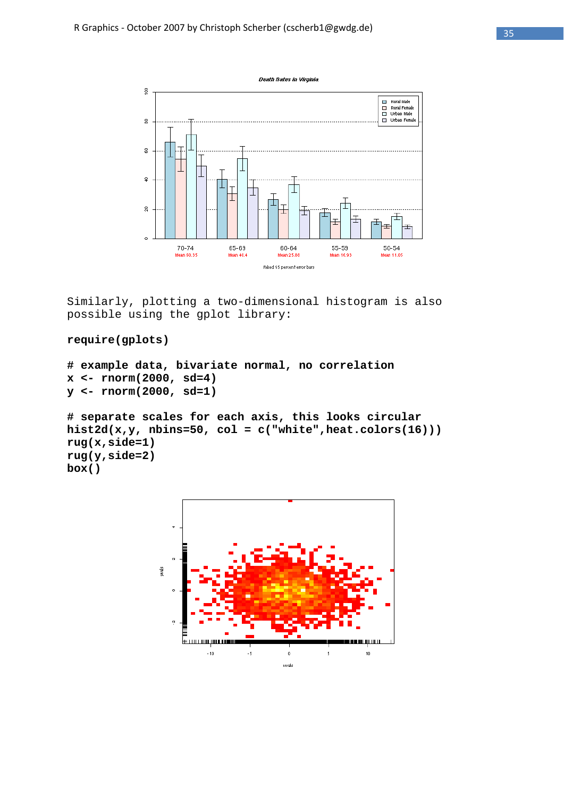

Similarly, plotting a two-dimensional histogram is also possible using the gplot library:

```
require(gplots)
```

```
# example data, bivariate normal, no correlation 
x <- rnorm(2000, sd=4) 
y <- rnorm(2000, sd=1) 
# separate scales for each axis, this looks circular 
hist2d(x,y, nbins=50, col = c("white",heat.colors(16))) 
rug(x,side=1) 
rug(y,side=2)
```

```
box()
```
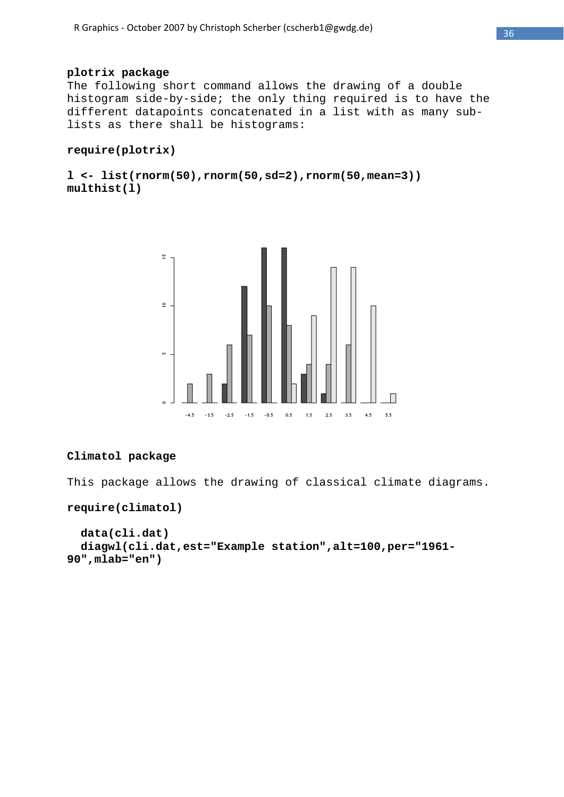## **plotrix package**

The following short command allows the drawing of a double histogram side-by-side; the only thing required is to have the different datapoints concatenated in a list with as many sublists as there shall be histograms:

## **require(plotrix)**

**l <- list(rnorm(50),rnorm(50,sd=2),rnorm(50,mean=3)) multhist(l)** 



## **Climatol package**

This package allows the drawing of classical climate diagrams.

## **require(climatol)**

```
 data(cli.dat) 
   diagwl(cli.dat,est="Example station",alt=100,per="1961-
90",mlab="en")
```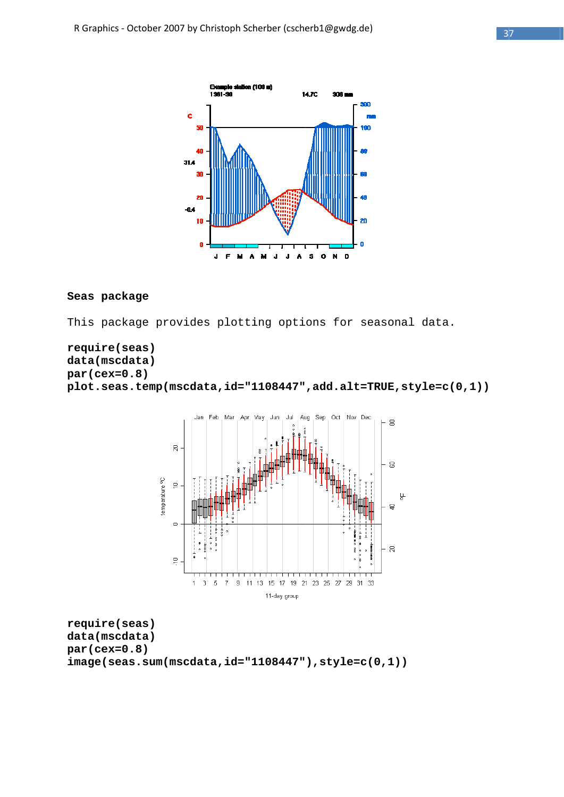

## **Seas p package**

This package provides plotting options for seasonal data.

 $\mathbf{rq}$ uire(seas) **data(m mscdata) par(ce ex=0.8)**  data(mscdata)<br>par(cex=0.8)<br>plot.seas.temp(mscdata,id="1108447",add.alt=TRUE,style=c(0,1))



 $\mathbf{rq}$ uire(seas) **data(m mscdata) par(ce ex=0.8) image( (seas.su )um(mscdat ta,id="1 1108447" ),style= =c(0,1))**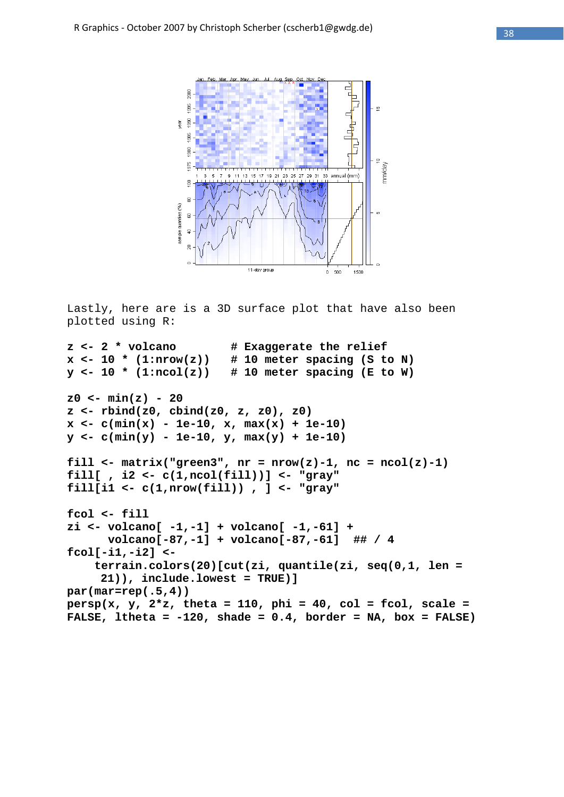

Lastly, here are is a 3D surface plot that have also been plotted using R:

```
z <- 2 * volcano # Exaggerate the relief 
x \le -10 \cdot (1: nrow(z)) # 10 meter spacing (S to N)
y <- 10 * (1:ncol(z)) # 10 meter spacing (E to W) 
z0 <- min(z) - 20 
z <- rbind(z0, cbind(z0, z, z0), z0) 
x <- c(min(x) - 1e-10, x, max(x) + 1e-10) 
y <- c(min(y) - 1e-10, y, max(y) + 1e-10) 
fill \le matrix("green3", nr = nrow(z)-1, nc = ncol(z)-1)
fill[ , i2 <- c(1,ncol(fill))] <- "gray" 
fill[i1 <- c(1,nrow(fill)) , ] <- "gray" 
fcol <- fill 
zi <- volcano[ -1,-1] + volcano[ -1,-61] + 
       volcano[-87,-1] + volcano[-87,-61] ## / 4 
fcol[-i1,-i2] <- 
     terrain.colors(20)[cut(zi, quantile(zi, seq(0,1, len = 
      21)), include.lowest = TRUE)] 
par(mar=rep(.5,4)) 
persp(x, y, 2*z, theta = 110, phi = 40, col = fcol, scale = 
FALSE, ltheta = -120, shade = 0.4, border = NA, box = FALSE)
```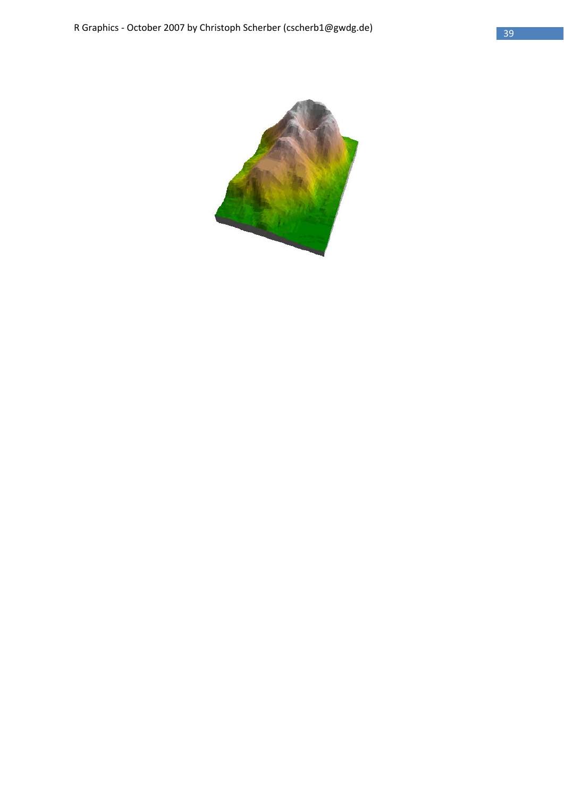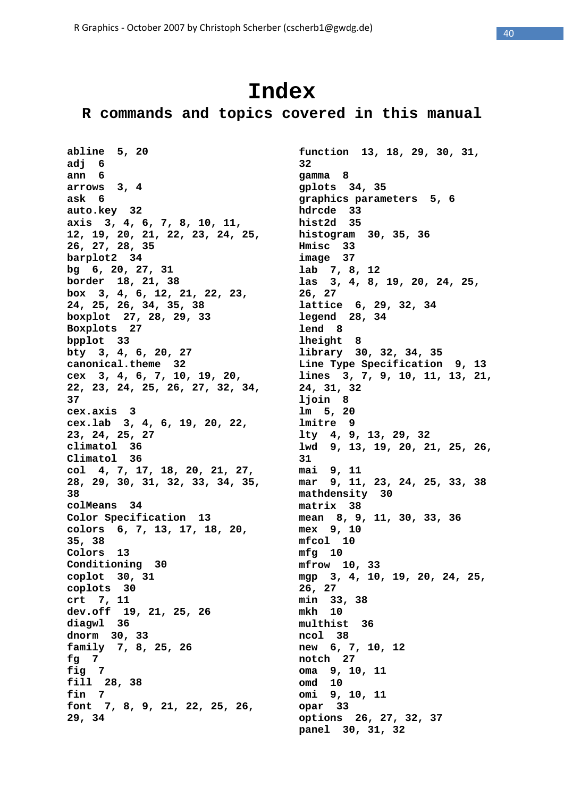## **Index**

## **R commands and topics covered in this manual**

**adj 6 ann 6 arrows 3, 4 ask 6 auto.key 32 axis 3, 4, 6, 7, 8, 10, 11, 12, 19, 20, 21, 22, 23, 24, 25, 26, 27, 28, 35 barplot2 34 bg 6, 20, 27, 31 border 18, 21, 38 box 3, 4, 6, 12, 21, 22, 23, 24, 25, 26, 34, 35, 38 boxplot 27, 28, 29, 33 Boxplots 27 bpplot 33 bty 3, 4, 6, 20, 27 canonical.theme 32 cex 3, 4, 6, 7, 10, 19, 20, 22, 23, 24, 25, 26, 27, 32, 34, 37 cex.axis 3 cex.lab 3, 4, 6, 19, 20, 22, 23, 24, 25, 27 climatol 36 Climatol 36 col 4, 7, 17, 18, 20, 21, 27, 28, 29, 30, 31, 32, 33, 34, 35, 38 colMeans 34 Color Specification 13 colors 6, 7, 13, 17, 18, 20, 35, 38 Colors 13 Conditioning 30 coplot 30, 31 coplots 30 crt 7, 11 dev.off 19, 21, 25, 26 diagwl 36 dnorm 30, 33 family 7, 8, 25, 26 fg 7 fig 7 fill 28, 38 fin 7 font 7, 8, 9, 21, 22, 25, 26, 29, 34** 

**abline 5, 20** 

**function 13, 18, 29, 30, 31, 32 gamma 8 gplots 34, 35 graphics parameters 5, 6 hdrcde 33 hist2d 35 histogram 30, 35, 36 Hmisc 33 image 37 lab 7, 8, 12 las 3, 4, 8, 19, 20, 24, 25, 26, 27 lattice 6, 29, 32, 34 legend 28, 34 lend 8 lheight 8 library 30, 32, 34, 35 Line Type Specification 9, 13 lines 3, 7, 9, 10, 11, 13, 21, 24, 31, 32 ljoin 8 lm 5, 20 lmitre 9 lty 4, 9, 13, 29, 32 lwd 9, 13, 19, 20, 21, 25, 26, 31 mai 9, 11 mar 9, 11, 23, 24, 25, 33, 38 mathdensity 30 matrix 38 mean 8, 9, 11, 30, 33, 36 mex 9, 10 mfcol 10 mfg 10 mfrow 10, 33 mgp 3, 4, 10, 19, 20, 24, 25, 26, 27 min 33, 38 mkh 10 multhist 36 ncol 38 new 6, 7, 10, 12 notch 27 oma 9, 10, 11 omd 10 omi 9, 10, 11 opar 33 options 26, 27, 32, 37 panel 30, 31, 32**